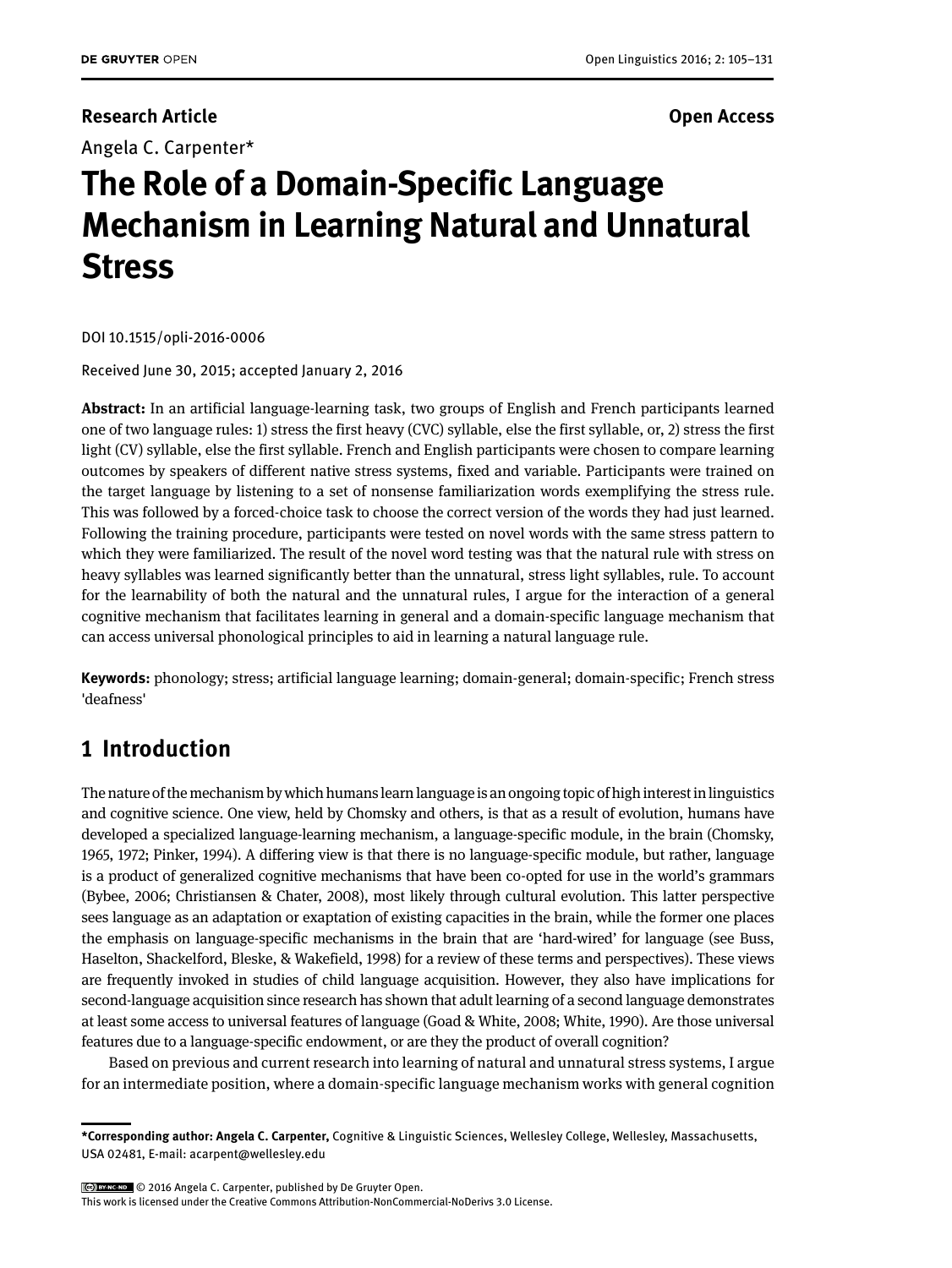### Angela C. Carpenter\* **Research Article Open Access**

# **The Role of a Domain-Specific Language Mechanism in Learning Natural and Unnatural Stress**

DOI 10.1515/opli-2016-0006

Received June 30, 2015; accepted January 2, 2016

**Abstract:** In an artificial language-learning task, two groups of English and French participants learned one of two language rules: 1) stress the first heavy (CVC) syllable, else the first syllable, or, 2) stress the first light (CV) syllable, else the first syllable. French and English participants were chosen to compare learning outcomes by speakers of different native stress systems, fixed and variable. Participants were trained on the target language by listening to a set of nonsense familiarization words exemplifying the stress rule. This was followed by a forced-choice task to choose the correct version of the words they had just learned. Following the training procedure, participants were tested on novel words with the same stress pattern to which they were familiarized. The result of the novel word testing was that the natural rule with stress on heavy syllables was learned significantly better than the unnatural, stress light syllables, rule. To account for the learnability of both the natural and the unnatural rules, I argue for the interaction of a general cognitive mechanism that facilitates learning in general and a domain-specific language mechanism that can access universal phonological principles to aid in learning a natural language rule.

**Keywords:** phonology; stress; artificial language learning; domain-general; domain-specific; French stress 'deafness'

### **1 Introduction**

The nature of the mechanism by which humans learn language is an ongoing topic of high interest in linguistics and cognitive science. One view, held by Chomsky and others, is that as a result of evolution, humans have developed a specialized language-learning mechanism, a language-specific module, in the brain (Chomsky, 1965, 1972; Pinker, 1994). A differing view is that there is no language-specific module, but rather, language is a product of generalized cognitive mechanisms that have been co-opted for use in the world's grammars (Bybee, 2006; Christiansen & Chater, 2008), most likely through cultural evolution. This latter perspective sees language as an adaptation or exaptation of existing capacities in the brain, while the former one places the emphasis on language-specific mechanisms in the brain that are 'hard-wired' for language (see Buss, Haselton, Shackelford, Bleske, & Wakefield, 1998) for a review of these terms and perspectives). These views are frequently invoked in studies of child language acquisition. However, they also have implications for second-language acquisition since research has shown that adult learning of a second language demonstrates at least some access to universal features of language (Goad & White, 2008; White, 1990). Are those universal features due to a language-specific endowment, or are they the product of overall cognition?

Based on previous and current research into learning of natural and unnatural stress systems, I argue for an intermediate position, where a domain-specific language mechanism works with general cognition

© 2016 Angela C. Carpenter, published by De Gruyter Open. This work is licensed under the Creative Commons Attribution-NonCommercial-NoDerivs 3.0 License.

**<sup>\*</sup>Corresponding author: Angela C. Carpenter,** Cognitive & Linguistic Sciences, Wellesley College, Wellesley, Massachusetts, USA 02481, E-mail: acarpent@wellesley.edu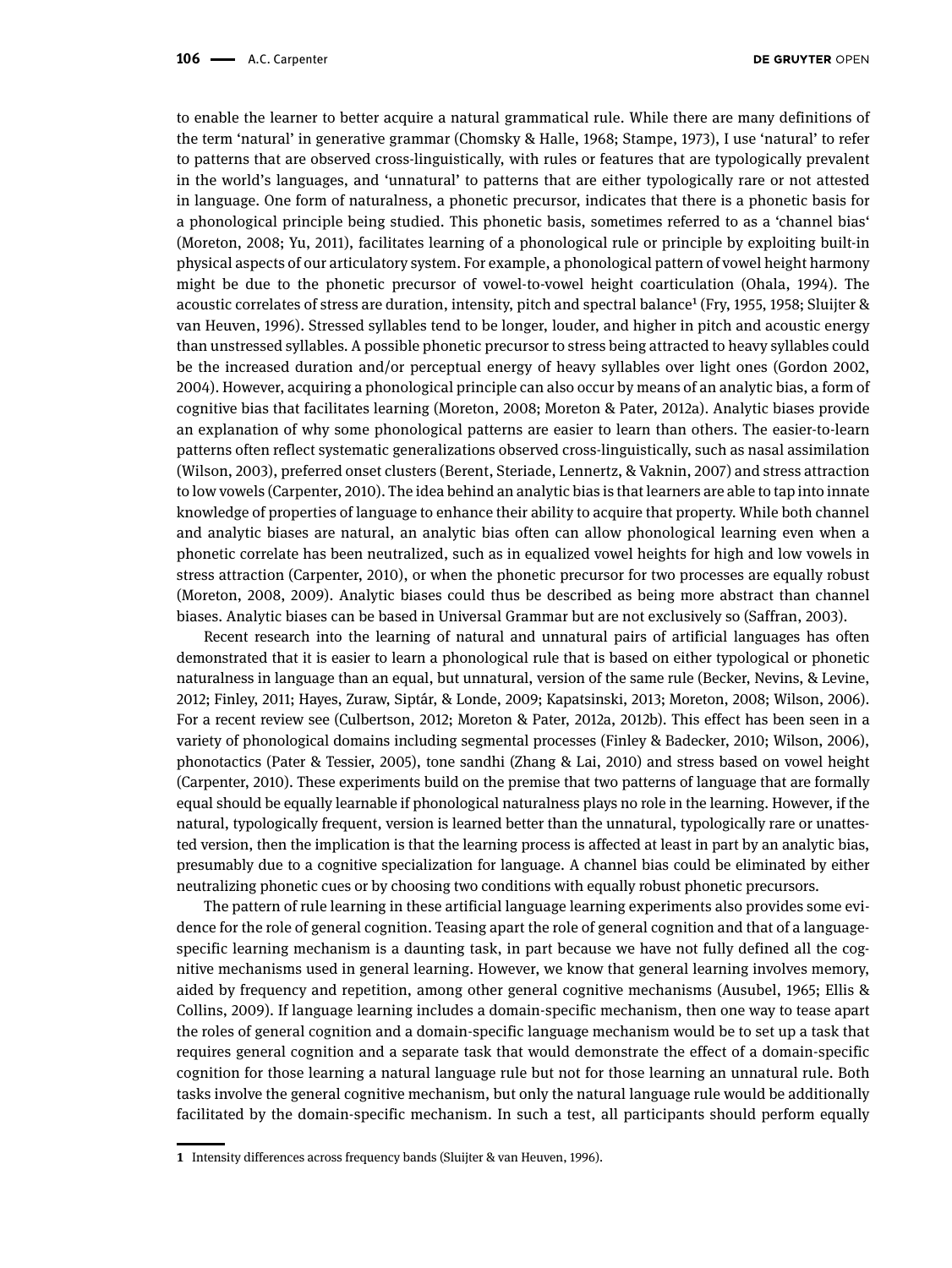to enable the learner to better acquire a natural grammatical rule. While there are many definitions of the term 'natural' in generative grammar (Chomsky & Halle, 1968; Stampe, 1973), I use 'natural' to refer to patterns that are observed cross-linguistically, with rules or features that are typologically prevalent in the world's languages, and 'unnatural' to patterns that are either typologically rare or not attested in language. One form of naturalness, a phonetic precursor, indicates that there is a phonetic basis for a phonological principle being studied. This phonetic basis, sometimes referred to as a 'channel bias' (Moreton, 2008; Yu, 2011), facilitates learning of a phonological rule or principle by exploiting built-in physical aspects of our articulatory system. For example, a phonological pattern of vowel height harmony might be due to the phonetic precursor of vowel-to-vowel height coarticulation (Ohala, 1994). The acoustic correlates of stress are duration, intensity, pitch and spectral balance<sup>1</sup> (Fry, 1955, 1958; Sluijter & van Heuven, 1996). Stressed syllables tend to be longer, louder, and higher in pitch and acoustic energy than unstressed syllables. A possible phonetic precursor to stress being attracted to heavy syllables could be the increased duration and/or perceptual energy of heavy syllables over light ones (Gordon 2002, 2004). However, acquiring a phonological principle can also occur by means of an analytic bias, a form of cognitive bias that facilitates learning (Moreton, 2008; Moreton & Pater, 2012a). Analytic biases provide an explanation of why some phonological patterns are easier to learn than others. The easier-to-learn patterns often reflect systematic generalizations observed cross-linguistically, such as nasal assimilation (Wilson, 2003), preferred onset clusters (Berent, Steriade, Lennertz, & Vaknin, 2007) and stress attraction to low vowels (Carpenter, 2010). The idea behind an analytic bias is that learners are able to tap into innate knowledge of properties of language to enhance their ability to acquire that property. While both channel and analytic biases are natural, an analytic bias often can allow phonological learning even when a phonetic correlate has been neutralized, such as in equalized vowel heights for high and low vowels in stress attraction (Carpenter, 2010), or when the phonetic precursor for two processes are equally robust (Moreton, 2008, 2009). Analytic biases could thus be described as being more abstract than channel biases. Analytic biases can be based in Universal Grammar but are not exclusively so (Saffran, 2003).

Recent research into the learning of natural and unnatural pairs of artificial languages has often demonstrated that it is easier to learn a phonological rule that is based on either typological or phonetic naturalness in language than an equal, but unnatural, version of the same rule (Becker, Nevins, & Levine, 2012; Finley, 2011; Hayes, Zuraw, Siptár, & Londe, 2009; Kapatsinski, 2013; Moreton, 2008; Wilson, 2006). For a recent review see (Culbertson, 2012; Moreton & Pater, 2012a, 2012b). This effect has been seen in a variety of phonological domains including segmental processes (Finley & Badecker, 2010; Wilson, 2006), phonotactics (Pater & Tessier, 2005), tone sandhi (Zhang & Lai, 2010) and stress based on vowel height (Carpenter, 2010). These experiments build on the premise that two patterns of language that are formally equal should be equally learnable if phonological naturalness plays no role in the learning. However, if the natural, typologically frequent, version is learned better than the unnatural, typologically rare or unattested version, then the implication is that the learning process is affected at least in part by an analytic bias, presumably due to a cognitive specialization for language. A channel bias could be eliminated by either neutralizing phonetic cues or by choosing two conditions with equally robust phonetic precursors.

The pattern of rule learning in these artificial language learning experiments also provides some evidence for the role of general cognition. Teasing apart the role of general cognition and that of a languagespecific learning mechanism is a daunting task, in part because we have not fully defined all the cognitive mechanisms used in general learning. However, we know that general learning involves memory, aided by frequency and repetition, among other general cognitive mechanisms (Ausubel, 1965; Ellis & Collins, 2009). If language learning includes a domain-specific mechanism, then one way to tease apart the roles of general cognition and a domain-specific language mechanism would be to set up a task that requires general cognition and a separate task that would demonstrate the effect of a domain-specific cognition for those learning a natural language rule but not for those learning an unnatural rule. Both tasks involve the general cognitive mechanism, but only the natural language rule would be additionally facilitated by the domain-specific mechanism. In such a test, all participants should perform equally

**<sup>1</sup>** Intensity differences across frequency bands (Sluijter & van Heuven, 1996).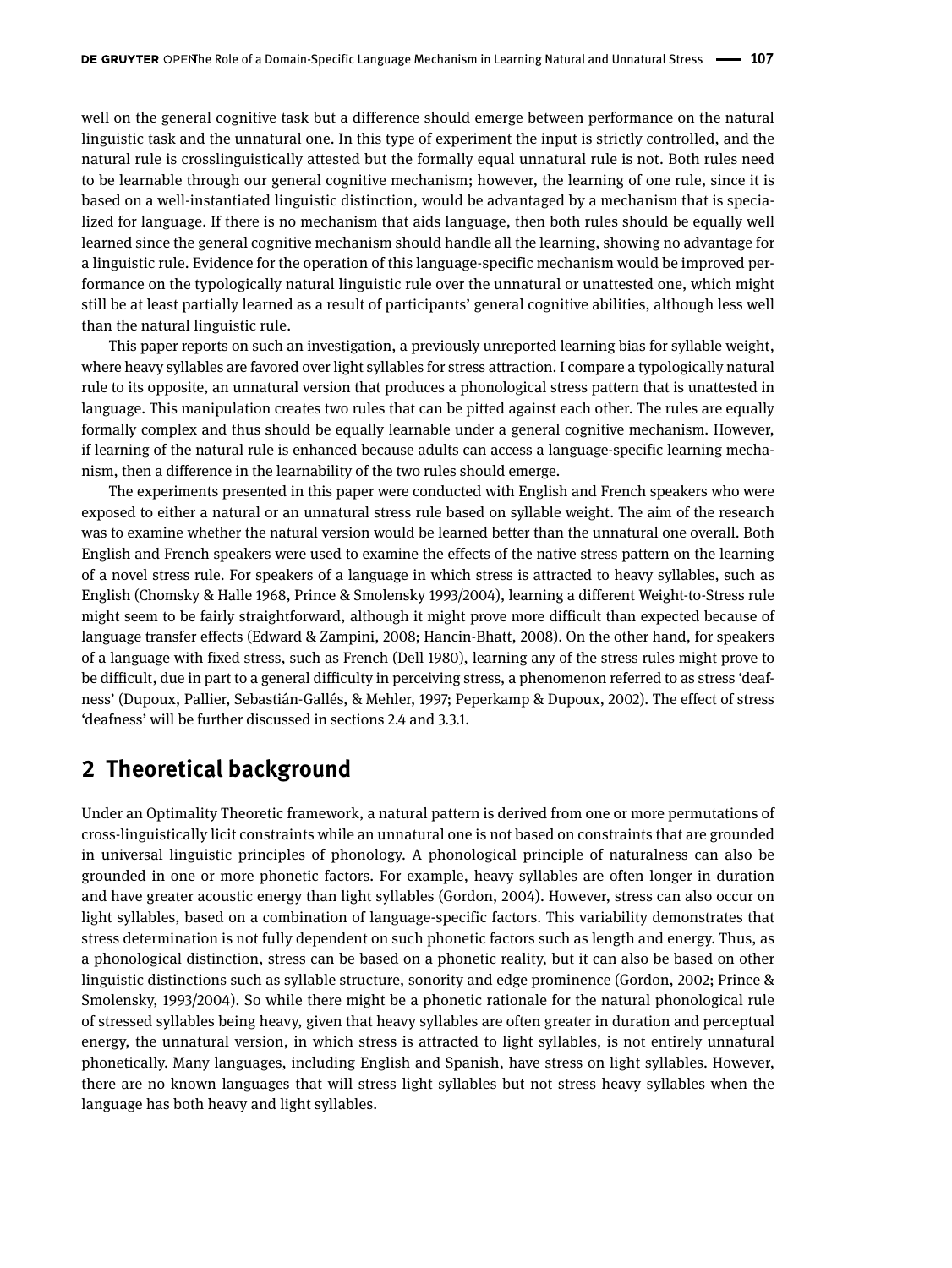well on the general cognitive task but a difference should emerge between performance on the natural linguistic task and the unnatural one. In this type of experiment the input is strictly controlled, and the natural rule is crosslinguistically attested but the formally equal unnatural rule is not. Both rules need to be learnable through our general cognitive mechanism; however, the learning of one rule, since it is based on a well-instantiated linguistic distinction, would be advantaged by a mechanism that is specialized for language. If there is no mechanism that aids language, then both rules should be equally well learned since the general cognitive mechanism should handle all the learning, showing no advantage for a linguistic rule. Evidence for the operation of this language-specific mechanism would be improved performance on the typologically natural linguistic rule over the unnatural or unattested one, which might still be at least partially learned as a result of participants' general cognitive abilities, although less well than the natural linguistic rule.

This paper reports on such an investigation, a previously unreported learning bias for syllable weight, where heavy syllables are favored over light syllables for stress attraction. I compare a typologically natural rule to its opposite, an unnatural version that produces a phonological stress pattern that is unattested in language. This manipulation creates two rules that can be pitted against each other. The rules are equally formally complex and thus should be equally learnable under a general cognitive mechanism. However, if learning of the natural rule is enhanced because adults can access a language-specific learning mechanism, then a difference in the learnability of the two rules should emerge.

The experiments presented in this paper were conducted with English and French speakers who were exposed to either a natural or an unnatural stress rule based on syllable weight. The aim of the research was to examine whether the natural version would be learned better than the unnatural one overall. Both English and French speakers were used to examine the effects of the native stress pattern on the learning of a novel stress rule. For speakers of a language in which stress is attracted to heavy syllables, such as English (Chomsky & Halle 1968, Prince & Smolensky 1993/2004), learning a different Weight-to-Stress rule might seem to be fairly straightforward, although it might prove more difficult than expected because of language transfer effects (Edward & Zampini, 2008; Hancin-Bhatt, 2008). On the other hand, for speakers of a language with fixed stress, such as French (Dell 1980), learning any of the stress rules might prove to be difficult, due in part to a general difficulty in perceiving stress, a phenomenon referred to as stress 'deafness' (Dupoux, Pallier, Sebastián-Gallés, & Mehler, 1997; Peperkamp & Dupoux, 2002). The effect of stress 'deafness' will be further discussed in sections 2.4 and 3.3.1.

### **2 Theoretical background**

Under an Optimality Theoretic framework, a natural pattern is derived from one or more permutations of cross-linguistically licit constraints while an unnatural one is not based on constraints that are grounded in universal linguistic principles of phonology. A phonological principle of naturalness can also be grounded in one or more phonetic factors. For example, heavy syllables are often longer in duration and have greater acoustic energy than light syllables (Gordon, 2004). However, stress can also occur on light syllables, based on a combination of language-specific factors. This variability demonstrates that stress determination is not fully dependent on such phonetic factors such as length and energy. Thus, as a phonological distinction, stress can be based on a phonetic reality, but it can also be based on other linguistic distinctions such as syllable structure, sonority and edge prominence (Gordon, 2002; Prince & Smolensky, 1993/2004). So while there might be a phonetic rationale for the natural phonological rule of stressed syllables being heavy, given that heavy syllables are often greater in duration and perceptual energy, the unnatural version, in which stress is attracted to light syllables, is not entirely unnatural phonetically. Many languages, including English and Spanish, have stress on light syllables. However, there are no known languages that will stress light syllables but not stress heavy syllables when the language has both heavy and light syllables.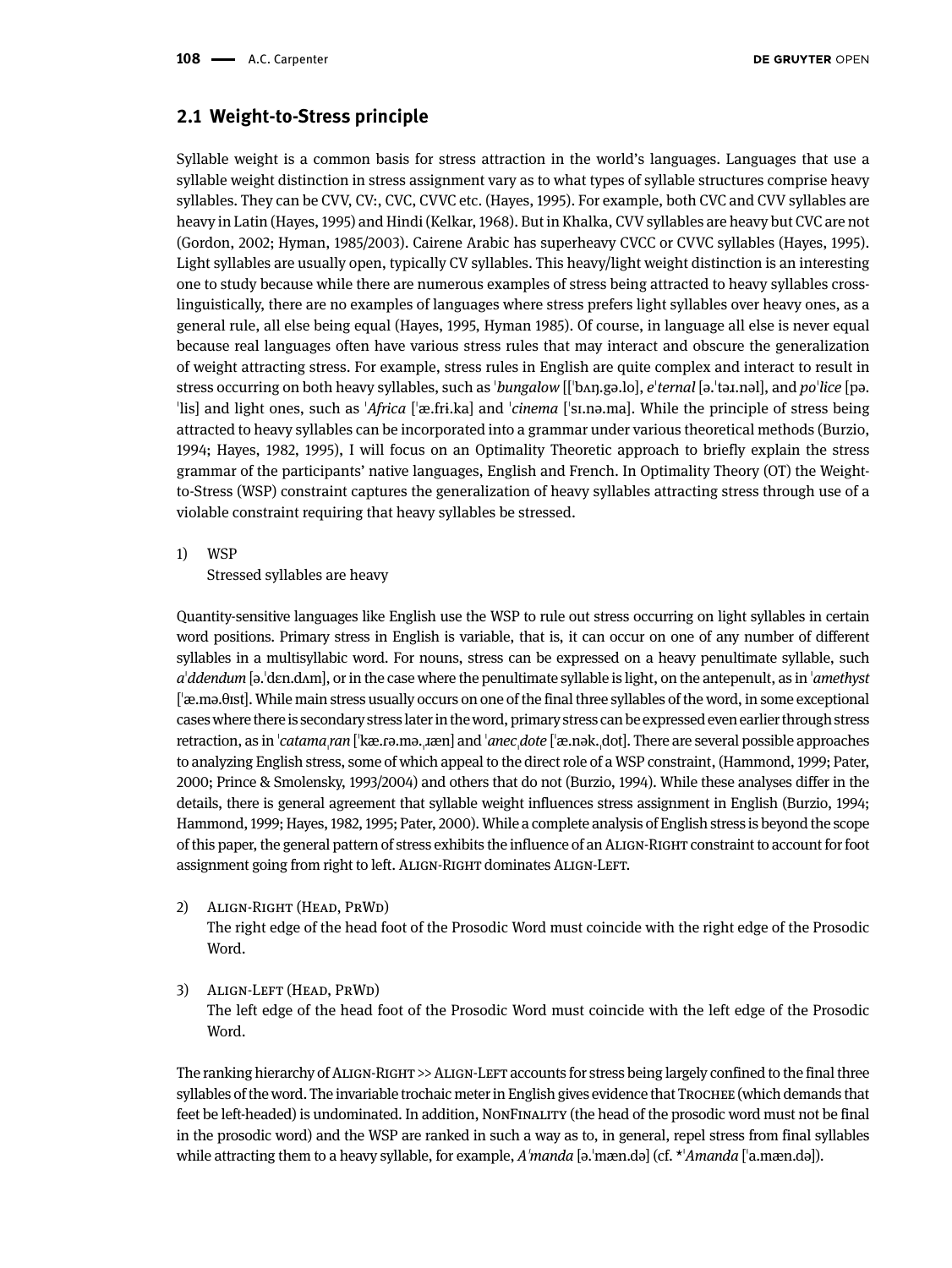#### **2.1 Weight-to-Stress principle**

Syllable weight is a common basis for stress attraction in the world's languages. Languages that use a syllable weight distinction in stress assignment vary as to what types of syllable structures comprise heavy syllables. They can be CVV, CV:, CVC, CVVC etc. (Hayes, 1995). For example, both CVC and CVV syllables are heavy in Latin (Hayes, 1995) and Hindi (Kelkar, 1968). But in Khalka, CVV syllables are heavy but CVC are not (Gordon, 2002; Hyman, 1985/2003). Cairene Arabic has superheavy CVCC or CVVC syllables (Hayes, 1995). Light syllables are usually open, typically CV syllables. This heavy/light weight distinction is an interesting one to study because while there are numerous examples of stress being attracted to heavy syllables crosslinguistically, there are no examples of languages where stress prefers light syllables over heavy ones, as a general rule, all else being equal (Hayes, 1995, Hyman 1985). Of course, in language all else is never equal because real languages often have various stress rules that may interact and obscure the generalization of weight attracting stress. For example, stress rules in English are quite complex and interact to result in stress occurring on both heavy syllables, such as ˈ*bungalow* [[ˈbʌŋ.gə.lo], *e*ˈ*ternal* [ə.ˈtəɹ.nəl], and *po*ˈ*lice* [pə. ˈlis] and light ones, such as ˈ*Africa* [ˈæ.frɨ.ka] and ˈ*cinema* [ˈsɪ.nə.ma]. While the principle of stress being attracted to heavy syllables can be incorporated into a grammar under various theoretical methods (Burzio, 1994; Hayes, 1982, 1995), I will focus on an Optimality Theoretic approach to briefly explain the stress grammar of the participants' native languages, English and French. In Optimality Theory (OT) the Weightto-Stress (WSP) constraint captures the generalization of heavy syllables attracting stress through use of a violable constraint requiring that heavy syllables be stressed.

1) WSP

Stressed syllables are heavy

Quantity-sensitive languages like English use the WSP to rule out stress occurring on light syllables in certain word positions. Primary stress in English is variable, that is, it can occur on one of any number of different syllables in a multisyllabic word. For nouns, stress can be expressed on a heavy penultimate syllable, such *a*ˈ*ddendum* [ə.ˈdɛn.dʌm], or in the case where the penultimate syllable is light, on the antepenult, as in ˈ*amethyst* [ˈæ.mə.θɪst]. While main stress usually occurs on one of the final three syllables of the word, in some exceptional cases where there is secondary stress later in the word, primary stress can be expressed even earlier through stress retraction, as in ˈ*catama*ˌ*ran* [ˈkæ.ɾə.mə.ˌɹæn] and ˈ*anec*ˌ*dote* [ˈæ.nək.ˌdot]. There are several possible approaches to analyzing English stress, some of which appeal to the direct role of a WSP constraint, (Hammond, 1999; Pater, 2000; Prince & Smolensky, 1993/2004) and others that do not (Burzio, 1994). While these analyses differ in the details, there is general agreement that syllable weight influences stress assignment in English (Burzio, 1994; Hammond, 1999; Hayes, 1982, 1995; Pater, 2000). While a complete analysis of English stress is beyond the scope of this paper, the general pattern of stress exhibits the influence of an Align-Right constraint to account for foot assignment going from right to left. ALIGN-RIGHT dominates ALIGN-LEFT.

2) ALIGN-RIGHT (HEAD, PRWD)

 The right edge of the head foot of the Prosodic Word must coincide with the right edge of the Prosodic Word.

3) ALIGN-LEFT (HEAD, PRWD)

 The left edge of the head foot of the Prosodic Word must coincide with the left edge of the Prosodic Word.

The ranking hierarchy of Align-Right >> Align-Left accounts for stress being largely confined to the final three syllables of the word. The invariable trochaic meter in English gives evidence that TROCHEE (which demands that feet be left-headed) is undominated. In addition, NonFinality (the head of the prosodic word must not be final in the prosodic word) and the WSP are ranked in such a way as to, in general, repel stress from final syllables while attracting them to a heavy syllable, for example, *Aˈmanda* [ə.ˈmæn.də] (cf. \*ˈ*Amanda* [ˈa.mæn.də]).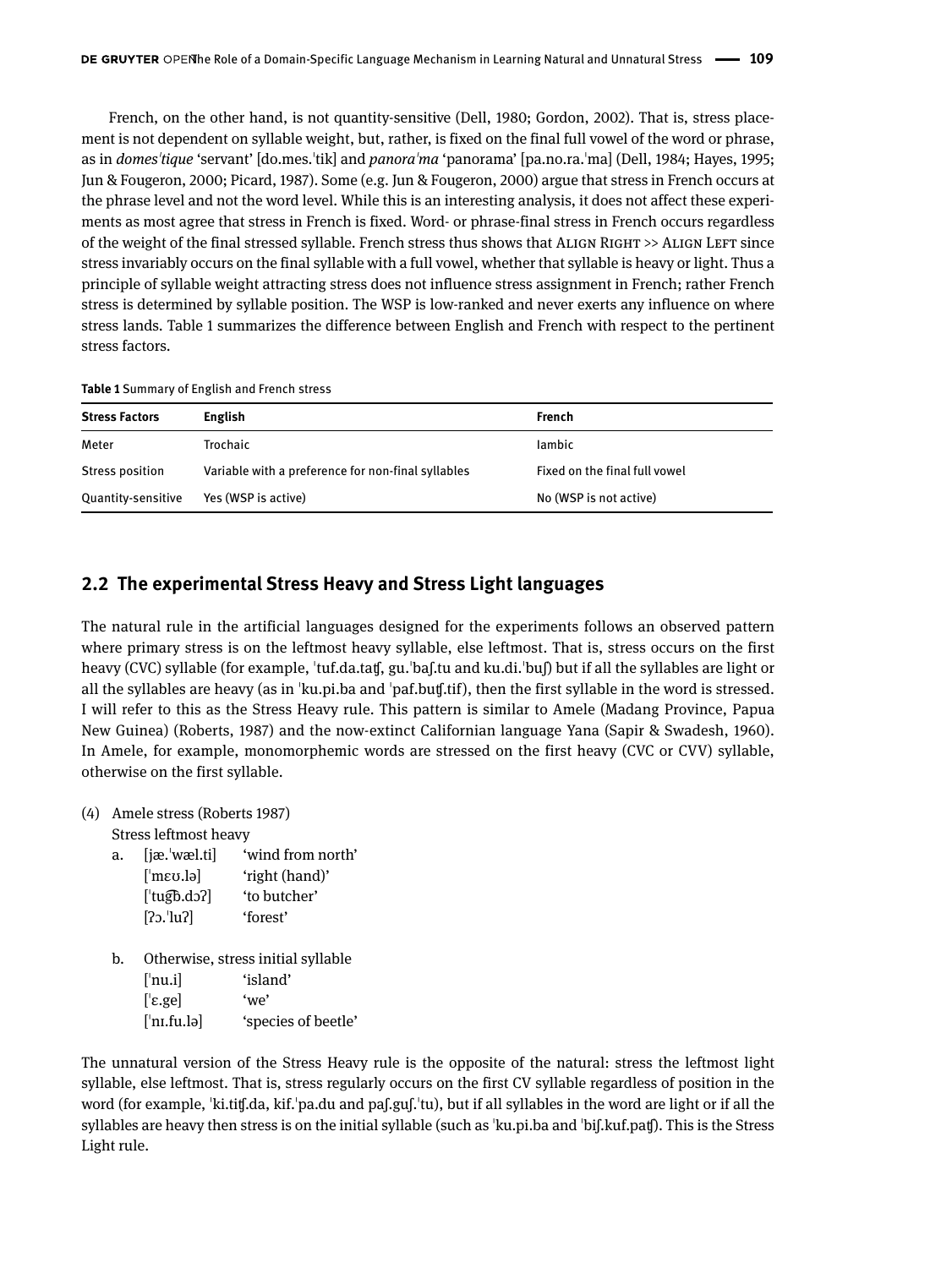French, on the other hand, is not quantity-sensitive (Dell, 1980; Gordon, 2002). That is, stress placement is not dependent on syllable weight, but, rather, is fixed on the final full vowel of the word or phrase, as in *domesˈtique* 'servant' [do.mes.ˈtik] and *panoraˈma* 'panorama' [pa.no.ra.ˈma] (Dell, 1984; Hayes, 1995; Jun & Fougeron, 2000; Picard, 1987). Some (e.g. Jun & Fougeron, 2000) argue that stress in French occurs at the phrase level and not the word level. While this is an interesting analysis, it does not affect these experiments as most agree that stress in French is fixed. Word- or phrase-final stress in French occurs regardless of the weight of the final stressed syllable. French stress thus shows that Align Right >> Align Left since stress invariably occurs on the final syllable with a full vowel, whether that syllable is heavy or light. Thus a principle of syllable weight attracting stress does not influence stress assignment in French; rather French stress is determined by syllable position. The WSP is low-ranked and never exerts any influence on where stress lands. Table 1 summarizes the difference between English and French with respect to the pertinent stress factors.

|  |  | Table 1 Summary of English and French stress |  |  |
|--|--|----------------------------------------------|--|--|
|--|--|----------------------------------------------|--|--|

| <b>Stress Factors</b> | <b>English</b>                                     | French                        |
|-----------------------|----------------------------------------------------|-------------------------------|
| Meter                 | <b>Trochaic</b>                                    | lambic                        |
| Stress position       | Variable with a preference for non-final syllables | Fixed on the final full vowel |
| Quantity-sensitive    | Yes (WSP is active)                                | No (WSP is not active)        |

#### **2.2 The experimental Stress Heavy and Stress Light languages**

The natural rule in the artificial languages designed for the experiments follows an observed pattern where primary stress is on the leftmost heavy syllable, else leftmost. That is, stress occurs on the first heavy (CVC) syllable (for example, ˈtuf.da.taʧ, gu.ˈbaʃ.tu and ku.di.ˈbuʃ) but if all the syllables are light or all the syllables are heavy (as in ˈku.pi.ba and ˈpaf.buʧ.tif), then the first syllable in the word is stressed. I will refer to this as the Stress Heavy rule. This pattern is similar to Amele (Madang Province, Papua New Guinea) (Roberts, 1987) and the now-extinct Californian language Yana (Sapir & Swadesh, 1960). In Amele, for example, monomorphemic words are stressed on the first heavy (CVC or CVV) syllable, otherwise on the first syllable.

- (4) Amele stress (Roberts 1987) Stress leftmost heavy
	- a. [jæ.ˈwæl.ti] 'wind from north' [ˈmɛʊ.lə] 'right (hand)' ['tugb.dɔ?] 'to butcher' [ʔɔ.ˈluʔ] 'forest'
	- b. Otherwise, stress initial syllable

| $[$ 'nu.i $]$                    | 'island'            |
|----------------------------------|---------------------|
| $[\text{\textdegree}:\text{ge}]$ | 'we'                |
| rni.fu.ləl                       | 'species of beetle' |

The unnatural version of the Stress Heavy rule is the opposite of the natural: stress the leftmost light syllable, else leftmost. That is, stress regularly occurs on the first CV syllable regardless of position in the word (for example, 'ki.tif.da, kif.'pa.du and paf.guf.'tu), but if all syllables in the word are light or if all the syllables are heavy then stress is on the initial syllable (such as ˈku.pi.ba and ˈbiʃ.kuf.paʧ). This is the Stress Light rule.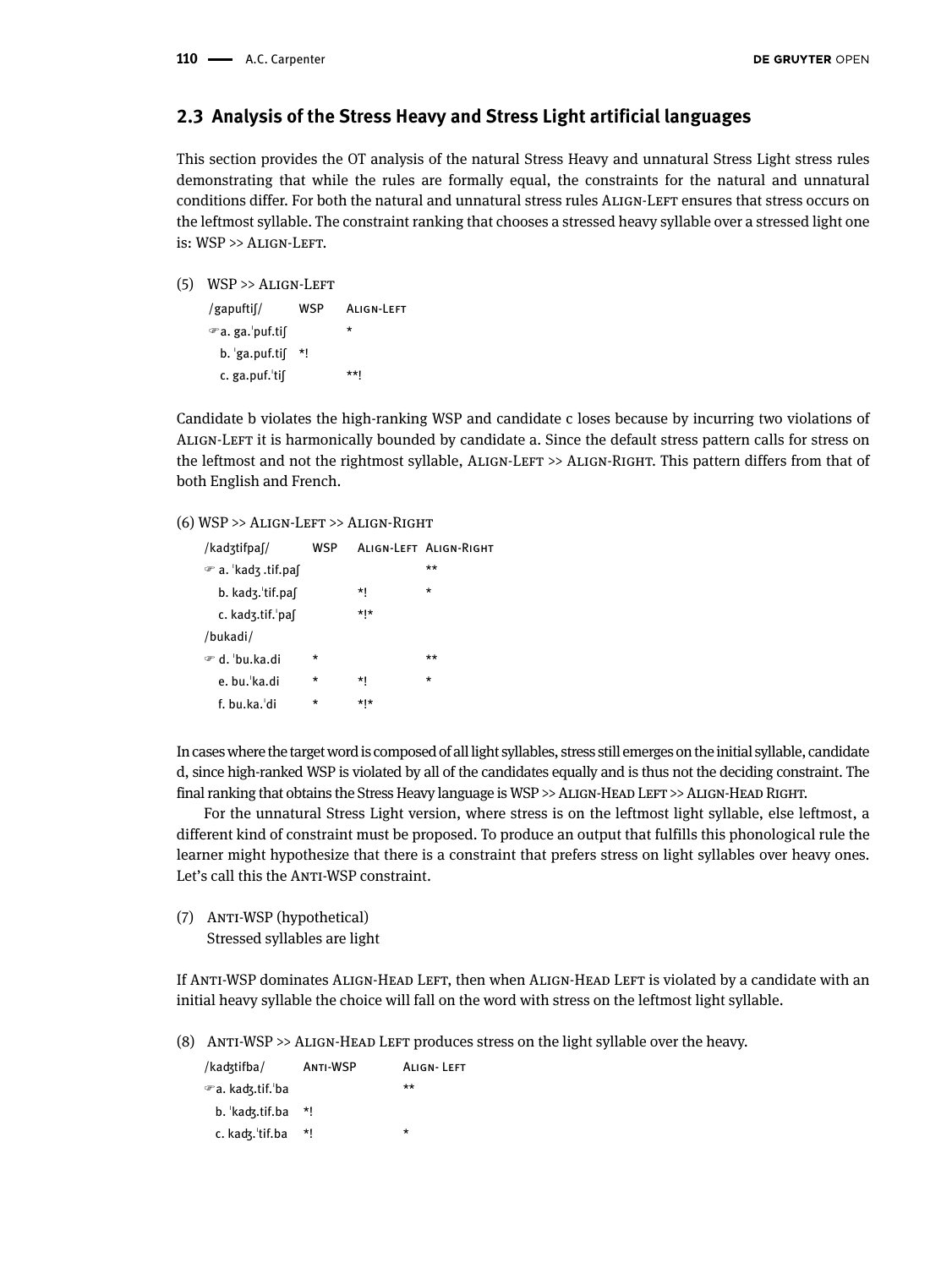#### **2.3 Analysis of the Stress Heavy and Stress Light artificial languages**

This section provides the OT analysis of the natural Stress Heavy and unnatural Stress Light stress rules demonstrating that while the rules are formally equal, the constraints for the natural and unnatural conditions differ. For both the natural and unnatural stress rules ALIGN-LEFT ensures that stress occurs on the leftmost syllable. The constraint ranking that chooses a stressed heavy syllable over a stressed light one is: WSP >> ALIGN-LEFT.

```
(5) WSP >> ALIGN-LEFT
```
/gapuftif/ WSP ALIGN-LEFT a. ga.ˈpuf.tiʃ \* b. ˈga.puf.tiʃ \*! c. ga.puf. $^{\text{th}}$  tif  $^{\star\star}$ !

Candidate b violates the high-ranking WSP and candidate c loses because by incurring two violations of Align-Left it is harmonically bounded by candidate a. Since the default stress pattern calls for stress on the leftmost and not the rightmost syllable, ALIGN-LEFT >> ALIGN-RIGHT. This pattern differs from that of both English and French.

#### (6) WSP >> Align-Left >> Align-Right

| /kadʒtifpaʃ/                  | WSP     |     | ALIGN-LEFT ALIGN-RIGHT |
|-------------------------------|---------|-----|------------------------|
| <sup>•</sup> a. kadर .tif.pa∫ |         |     | $^{\star\star}$        |
| b. kadz. tif.paf              |         | *۱  | *                      |
| c. kadz.tif. pal              |         | * * |                        |
| /bukadi/                      |         |     |                        |
| ☞ d. <sup>'</sup> bu.ka.di    | $\star$ |     | $***$                  |
| e. bu.'ka.di                  | $\star$ | *۱  | *                      |
| f. bu.ka.'di                  | *       | * * |                        |

In cases where the target word is composed of all light syllables, stress still emerges on the initial syllable, candidate d, since high-ranked WSP is violated by all of the candidates equally and is thus not the deciding constraint. The final ranking that obtains the Stress Heavy language is WSP >> Align-Head Left >> Align-Head Right.

For the unnatural Stress Light version, where stress is on the leftmost light syllable, else leftmost, a different kind of constraint must be proposed. To produce an output that fulfills this phonological rule the learner might hypothesize that there is a constraint that prefers stress on light syllables over heavy ones. Let's call this the ANTI-WSP constraint.

(7) ANTI-WSP (hypothetical) Stressed syllables are light

If ANTI-WSP dominates ALIGN-HEAD LEFT, then when ALIGN-HEAD LEFT is violated by a candidate with an initial heavy syllable the choice will fall on the word with stress on the leftmost light syllable.

(8) Anti-WSP >> Align-Head Left produces stress on the light syllable over the heavy.

| /kadztifba/     | <b>ANTI-WSP</b> | <b>ALIGN-LEFT</b> |
|-----------------|-----------------|-------------------|
| ☞a. kaʤ.tif.ˈba |                 | $***$             |
| b. kadz.tif.ba  | *I              |                   |
| c. kadz. tif.ba | $\star$ l       | $\star$           |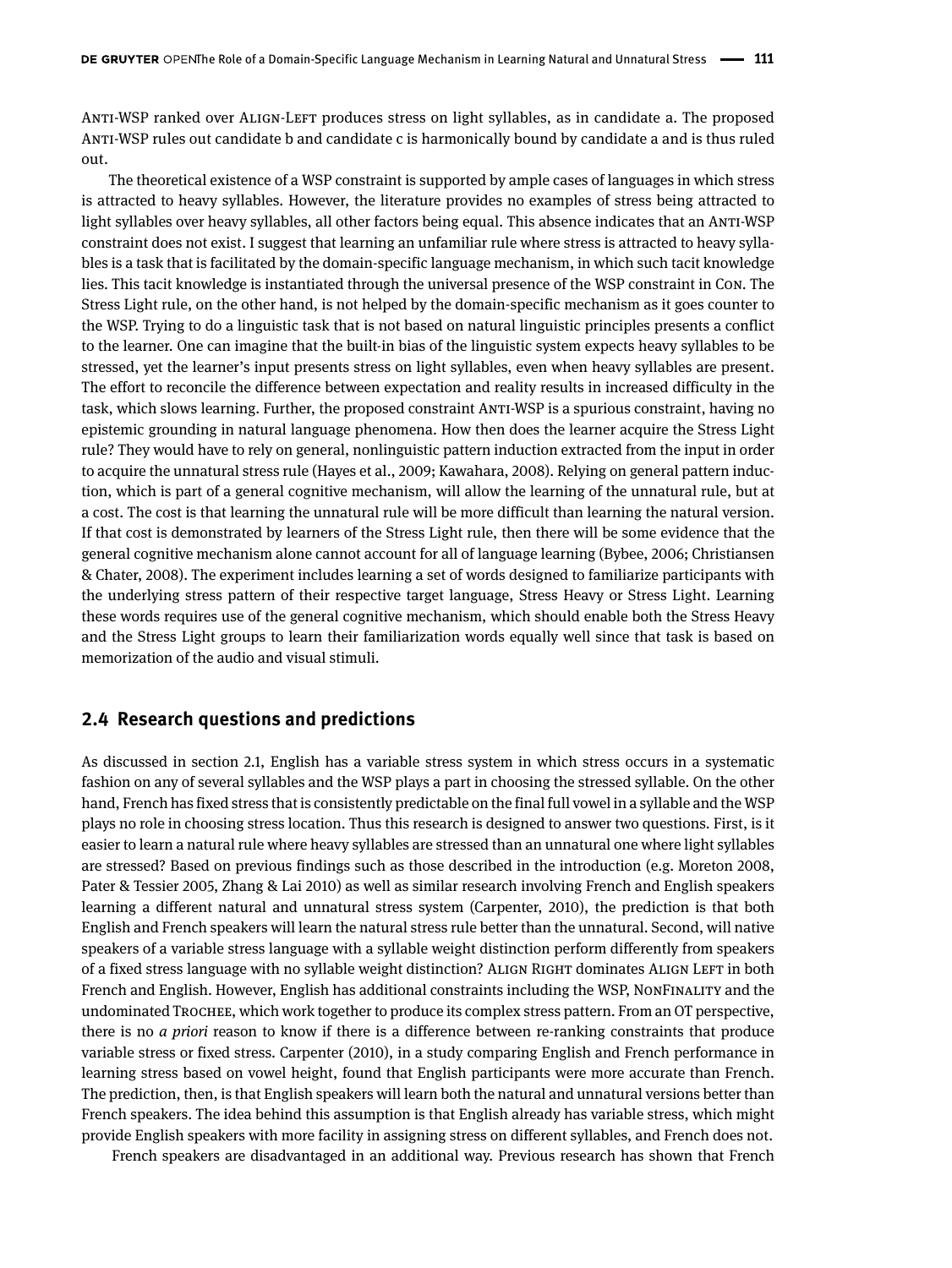Anti-WSP ranked over Align-Left produces stress on light syllables, as in candidate a. The proposed Anti-WSP rules out candidate b and candidate c is harmonically bound by candidate a and is thus ruled out.

The theoretical existence of a WSP constraint is supported by ample cases of languages in which stress is attracted to heavy syllables. However, the literature provides no examples of stress being attracted to light syllables over heavy syllables, all other factors being equal. This absence indicates that an Anti-WSP constraint does not exist. I suggest that learning an unfamiliar rule where stress is attracted to heavy syllables is a task that is facilitated by the domain-specific language mechanism, in which such tacit knowledge lies. This tacit knowledge is instantiated through the universal presence of the WSP constraint in Con. The Stress Light rule, on the other hand, is not helped by the domain-specific mechanism as it goes counter to the WSP. Trying to do a linguistic task that is not based on natural linguistic principles presents a conflict to the learner. One can imagine that the built-in bias of the linguistic system expects heavy syllables to be stressed, yet the learner's input presents stress on light syllables, even when heavy syllables are present. The effort to reconcile the difference between expectation and reality results in increased difficulty in the task, which slows learning. Further, the proposed constraint Anti-WSP is a spurious constraint, having no epistemic grounding in natural language phenomena. How then does the learner acquire the Stress Light rule? They would have to rely on general, nonlinguistic pattern induction extracted from the input in order to acquire the unnatural stress rule (Hayes et al., 2009; Kawahara, 2008). Relying on general pattern induction, which is part of a general cognitive mechanism, will allow the learning of the unnatural rule, but at a cost. The cost is that learning the unnatural rule will be more difficult than learning the natural version. If that cost is demonstrated by learners of the Stress Light rule, then there will be some evidence that the general cognitive mechanism alone cannot account for all of language learning (Bybee, 2006; Christiansen & Chater, 2008). The experiment includes learning a set of words designed to familiarize participants with the underlying stress pattern of their respective target language, Stress Heavy or Stress Light. Learning these words requires use of the general cognitive mechanism, which should enable both the Stress Heavy and the Stress Light groups to learn their familiarization words equally well since that task is based on memorization of the audio and visual stimuli.

#### **2.4 Research questions and predictions**

As discussed in section 2.1, English has a variable stress system in which stress occurs in a systematic fashion on any of several syllables and the WSP plays a part in choosing the stressed syllable. On the other hand, French has fixed stress that is consistently predictable on the final full vowel in a syllable and the WSP plays no role in choosing stress location. Thus this research is designed to answer two questions. First, is it easier to learn a natural rule where heavy syllables are stressed than an unnatural one where light syllables are stressed? Based on previous findings such as those described in the introduction (e.g. Moreton 2008, Pater & Tessier 2005, Zhang & Lai 2010) as well as similar research involving French and English speakers learning a different natural and unnatural stress system (Carpenter, 2010), the prediction is that both English and French speakers will learn the natural stress rule better than the unnatural. Second, will native speakers of a variable stress language with a syllable weight distinction perform differently from speakers of a fixed stress language with no syllable weight distinction? Align Right dominates Align Left in both French and English. However, English has additional constraints including the WSP, NonFinality and the undominated Trochee, which work together to produce its complex stress pattern. From an OT perspective, there is no *a priori* reason to know if there is a difference between re-ranking constraints that produce variable stress or fixed stress. Carpenter (2010), in a study comparing English and French performance in learning stress based on vowel height, found that English participants were more accurate than French. The prediction, then, is that English speakers will learn both the natural and unnatural versions better than French speakers. The idea behind this assumption is that English already has variable stress, which might provide English speakers with more facility in assigning stress on different syllables, and French does not.

French speakers are disadvantaged in an additional way. Previous research has shown that French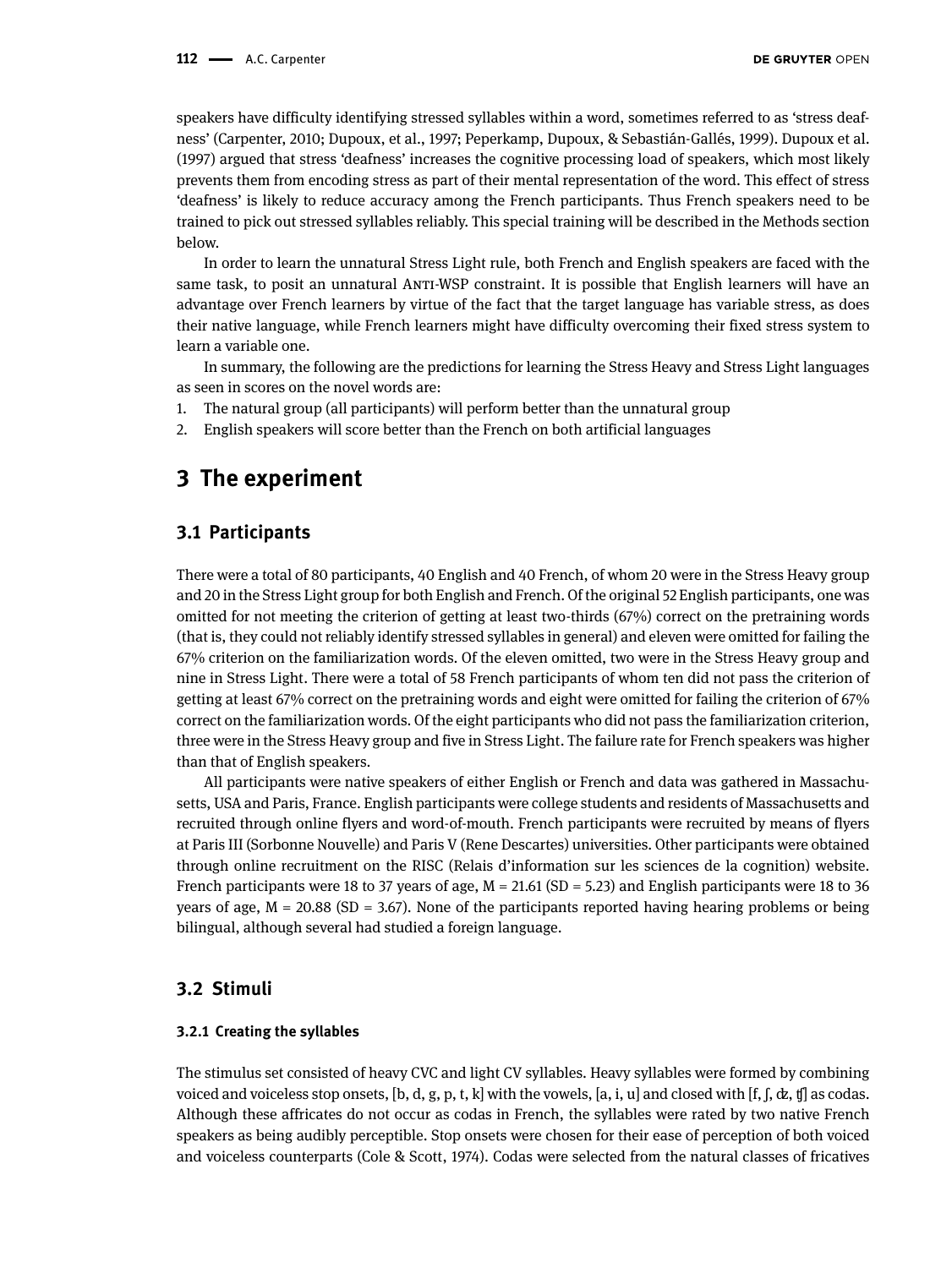speakers have difficulty identifying stressed syllables within a word, sometimes referred to as 'stress deafness' (Carpenter, 2010; Dupoux, et al., 1997; Peperkamp, Dupoux, & Sebastián-Gallés, 1999). Dupoux et al. (1997) argued that stress 'deafness' increases the cognitive processing load of speakers, which most likely prevents them from encoding stress as part of their mental representation of the word. This effect of stress 'deafness' is likely to reduce accuracy among the French participants. Thus French speakers need to be trained to pick out stressed syllables reliably. This special training will be described in the Methods section below.

In order to learn the unnatural Stress Light rule, both French and English speakers are faced with the same task, to posit an unnatural ANTI-WSP constraint. It is possible that English learners will have an advantage over French learners by virtue of the fact that the target language has variable stress, as does their native language, while French learners might have difficulty overcoming their fixed stress system to learn a variable one.

In summary, the following are the predictions for learning the Stress Heavy and Stress Light languages as seen in scores on the novel words are:

- 1. The natural group (all participants) will perform better than the unnatural group
- 2. English speakers will score better than the French on both artificial languages

### **3 The experiment**

#### **3.1 Participants**

There were a total of 80 participants, 40 English and 40 French, of whom 20 were in the Stress Heavy group and 20 in the Stress Light group for both English and French. Of the original 52 English participants, one was omitted for not meeting the criterion of getting at least two-thirds (67%) correct on the pretraining words (that is, they could not reliably identify stressed syllables in general) and eleven were omitted for failing the 67% criterion on the familiarization words. Of the eleven omitted, two were in the Stress Heavy group and nine in Stress Light. There were a total of 58 French participants of whom ten did not pass the criterion of getting at least 67% correct on the pretraining words and eight were omitted for failing the criterion of 67% correct on the familiarization words. Of the eight participants who did not pass the familiarization criterion, three were in the Stress Heavy group and five in Stress Light. The failure rate for French speakers was higher than that of English speakers.

All participants were native speakers of either English or French and data was gathered in Massachusetts, USA and Paris, France. English participants were college students and residents of Massachusetts and recruited through online flyers and word-of-mouth. French participants were recruited by means of flyers at Paris III (Sorbonne Nouvelle) and Paris V (Rene Descartes) universities. Other participants were obtained through online recruitment on the RISC (Relais d'information sur les sciences de la cognition) website. French participants were 18 to 37 years of age,  $M = 21.61$  (SD = 5.23) and English participants were 18 to 36 years of age,  $M = 20.88$  (SD = 3.67). None of the participants reported having hearing problems or being bilingual, although several had studied a foreign language.

#### **3.2 Stimuli**

#### **3.2.1 Creating the syllables**

The stimulus set consisted of heavy CVC and light CV syllables. Heavy syllables were formed by combining voiced and voiceless stop onsets,  $[b, d, g, p, t, k]$  with the vowels,  $[a, i, u]$  and closed with  $[f, f, \alpha, tf]$  as codas. Although these affricates do not occur as codas in French, the syllables were rated by two native French speakers as being audibly perceptible. Stop onsets were chosen for their ease of perception of both voiced and voiceless counterparts (Cole & Scott, 1974). Codas were selected from the natural classes of fricatives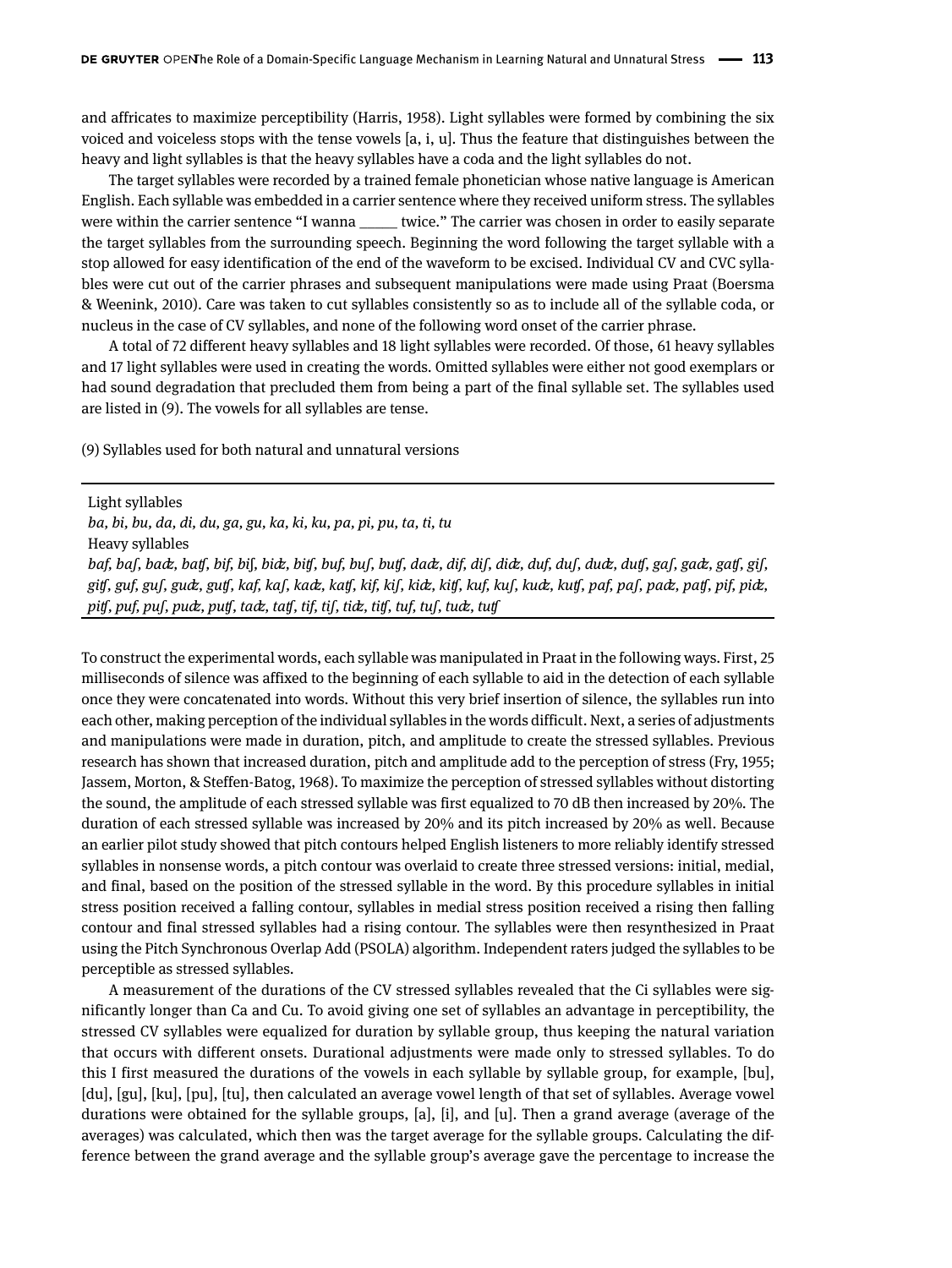and affricates to maximize perceptibility (Harris, 1958). Light syllables were formed by combining the six voiced and voiceless stops with the tense vowels [a, i, u]. Thus the feature that distinguishes between the heavy and light syllables is that the heavy syllables have a coda and the light syllables do not.

The target syllables were recorded by a trained female phonetician whose native language is American English. Each syllable was embedded in a carrier sentence where they received uniform stress. The syllables were within the carrier sentence "I wanna \_\_\_\_\_\_\_\_\_ twice." The carrier was chosen in order to easily separate the target syllables from the surrounding speech. Beginning the word following the target syllable with a stop allowed for easy identification of the end of the waveform to be excised. Individual CV and CVC syllables were cut out of the carrier phrases and subsequent manipulations were made using Praat (Boersma & Weenink, 2010). Care was taken to cut syllables consistently so as to include all of the syllable coda, or nucleus in the case of CV syllables, and none of the following word onset of the carrier phrase.

A total of 72 different heavy syllables and 18 light syllables were recorded. Of those, 61 heavy syllables and 17 light syllables were used in creating the words. Omitted syllables were either not good exemplars or had sound degradation that precluded them from being a part of the final syllable set. The syllables used are listed in (9). The vowels for all syllables are tense.

(9) Syllables used for both natural and unnatural versions

Light syllables

Heavy syllables

*baf, baʃ, baʣ, baʧ, bif, bi*ʃ*, biʣ, biʧ, buf, buʃ, buʧ, daʣ, dif, diʃ, diʣ, duf, duʃ, duʣ, duʧ, gaʃ, gaʣ, gaʧ, giʃ, giʧ, guf, guʃ, guʣ, guʧ, kaf, kaʃ, kaʣ, kaʧ, kif, kiʃ, kiʣ, kiʧ, kuf, kuʃ, kuʣ, kuʧ, paf, paʃ, paʣ, paʧ, pif, piʣ, piʧ, puf, puʃ, puʣ, puʧ, taʣ, taʧ, tif, tiʃ, tiʣ, tiʧ, tuf, tuʃ, tuʣ, tuʧ*

To construct the experimental words, each syllable was manipulated in Praat in the following ways. First, 25 milliseconds of silence was affixed to the beginning of each syllable to aid in the detection of each syllable once they were concatenated into words. Without this very brief insertion of silence, the syllables run into each other, making perception of the individual syllables in the words difficult. Next, a series of adjustments and manipulations were made in duration, pitch, and amplitude to create the stressed syllables. Previous research has shown that increased duration, pitch and amplitude add to the perception of stress (Fry, 1955; Jassem, Morton, & Steffen-Batog, 1968). To maximize the perception of stressed syllables without distorting the sound, the amplitude of each stressed syllable was first equalized to 70 dB then increased by 20%. The duration of each stressed syllable was increased by 20% and its pitch increased by 20% as well. Because an earlier pilot study showed that pitch contours helped English listeners to more reliably identify stressed syllables in nonsense words, a pitch contour was overlaid to create three stressed versions: initial, medial, and final, based on the position of the stressed syllable in the word. By this procedure syllables in initial stress position received a falling contour, syllables in medial stress position received a rising then falling contour and final stressed syllables had a rising contour. The syllables were then resynthesized in Praat using the Pitch Synchronous Overlap Add (PSOLA) algorithm. Independent raters judged the syllables to be perceptible as stressed syllables.

A measurement of the durations of the CV stressed syllables revealed that the Ci syllables were significantly longer than Ca and Cu. To avoid giving one set of syllables an advantage in perceptibility, the stressed CV syllables were equalized for duration by syllable group, thus keeping the natural variation that occurs with different onsets. Durational adjustments were made only to stressed syllables. To do this I first measured the durations of the vowels in each syllable by syllable group, for example, [bu], [du], [gu], [ku], [pu], [tu], then calculated an average vowel length of that set of syllables. Average vowel durations were obtained for the syllable groups, [a], [i], and [u]. Then a grand average (average of the averages) was calculated, which then was the target average for the syllable groups. Calculating the difference between the grand average and the syllable group's average gave the percentage to increase the

*ba, bi, bu, da, di, du, ga, gu, ka, ki, ku, pa, pi, pu, ta, ti, tu*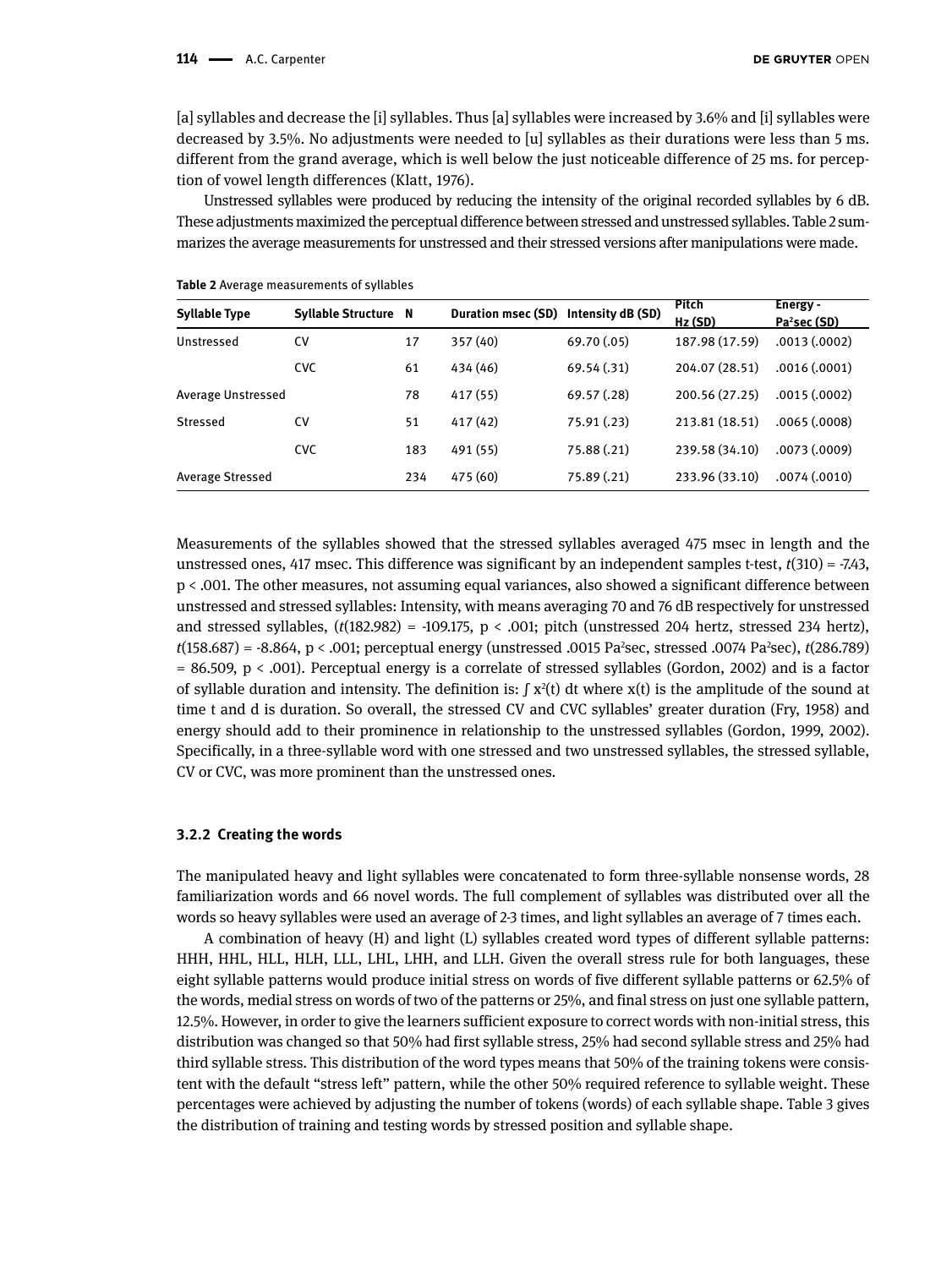[a] syllables and decrease the [i] syllables. Thus [a] syllables were increased by 3.6% and [i] syllables were decreased by 3.5%. No adjustments were needed to [u] syllables as their durations were less than 5 ms. different from the grand average, which is well below the just noticeable difference of 25 ms. for perception of vowel length differences (Klatt, 1976).

Unstressed syllables were produced by reducing the intensity of the original recorded syllables by 6 dB. These adjustments maximized the perceptual difference between stressed and unstressed syllables. Table 2 summarizes the average measurements for unstressed and their stressed versions after manipulations were made.

| <b>Syllable Type</b>    | <b>Syllable Structure N</b> |     | Duration msec (SD) Intensity dB (SD) |             | <b>Pitch</b><br>Hz(SD) | Energy -<br>Pa <sup>2</sup> sec (SD) |
|-------------------------|-----------------------------|-----|--------------------------------------|-------------|------------------------|--------------------------------------|
| Unstressed              | CV                          | 17  | 357 (40)                             | 69.70 (.05) | 187.98 (17.59)         | .0013(.0002)                         |
|                         | <b>CVC</b>                  | 61  | 434 (46)                             | 69.54(0.31) | 204.07 (28.51)         | .0016(.0001)                         |
| Average Unstressed      |                             | 78  | 417 (55)                             | 69.57 (.28) | 200.56 (27.25)         | $.0015$ $(.0002)$                    |
| Stressed                | CV                          | 51  | 417 (42)                             | 75.91 (.23) | 213.81 (18.51)         | $.0065$ $(.0008)$                    |
|                         | <b>CVC</b>                  | 183 | 491 (55)                             | 75.88 (.21) | 239.58 (34.10)         | $.0073$ $(.0009)$                    |
| <b>Average Stressed</b> |                             | 234 | 475 (60)                             | 75.89 (.21) | 233.96 (33.10)         | $.0074$ $(.0010)$                    |

**Table 2** Average measurements of syllables

Measurements of the syllables showed that the stressed syllables averaged 475 msec in length and the unstressed ones, 417 msec. This difference was significant by an independent samples t-test, *t*(310) = -7.43, p < .001. The other measures, not assuming equal variances, also showed a significant difference between unstressed and stressed syllables: Intensity, with means averaging 70 and 76 dB respectively for unstressed and stressed syllables, (*t*(182.982) = -109.175, p < .001; pitch (unstressed 204 hertz, stressed 234 hertz), *t*(158.687) = -8.864, p < .001; perceptual energy (unstressed .0015 Pa2 sec, stressed .0074 Pa2 sec), *t*(286.789) = 86.509, p < .001). Perceptual energy is a correlate of stressed syllables (Gordon, 2002) and is a factor of syllable duration and intensity. The definition is:  $\int x^2(t)$  dt where x(t) is the amplitude of the sound at time t and d is duration. So overall, the stressed CV and CVC syllables' greater duration (Fry, 1958) and energy should add to their prominence in relationship to the unstressed syllables (Gordon, 1999, 2002). Specifically, in a three-syllable word with one stressed and two unstressed syllables, the stressed syllable, CV or CVC, was more prominent than the unstressed ones.

#### **3.2.2 Creating the words**

The manipulated heavy and light syllables were concatenated to form three-syllable nonsense words, 28 familiarization words and 66 novel words. The full complement of syllables was distributed over all the words so heavy syllables were used an average of 2-3 times, and light syllables an average of 7 times each.

A combination of heavy (H) and light (L) syllables created word types of different syllable patterns: HHH, HHL, HLL, HLH, LLL, LHL, LHH, and LLH. Given the overall stress rule for both languages, these eight syllable patterns would produce initial stress on words of five different syllable patterns or 62.5% of the words, medial stress on words of two of the patterns or 25%, and final stress on just one syllable pattern, 12.5%. However, in order to give the learners sufficient exposure to correct words with non-initial stress, this distribution was changed so that 50% had first syllable stress, 25% had second syllable stress and 25% had third syllable stress. This distribution of the word types means that 50% of the training tokens were consistent with the default "stress left" pattern, while the other 50% required reference to syllable weight. These percentages were achieved by adjusting the number of tokens (words) of each syllable shape. Table 3 gives the distribution of training and testing words by stressed position and syllable shape.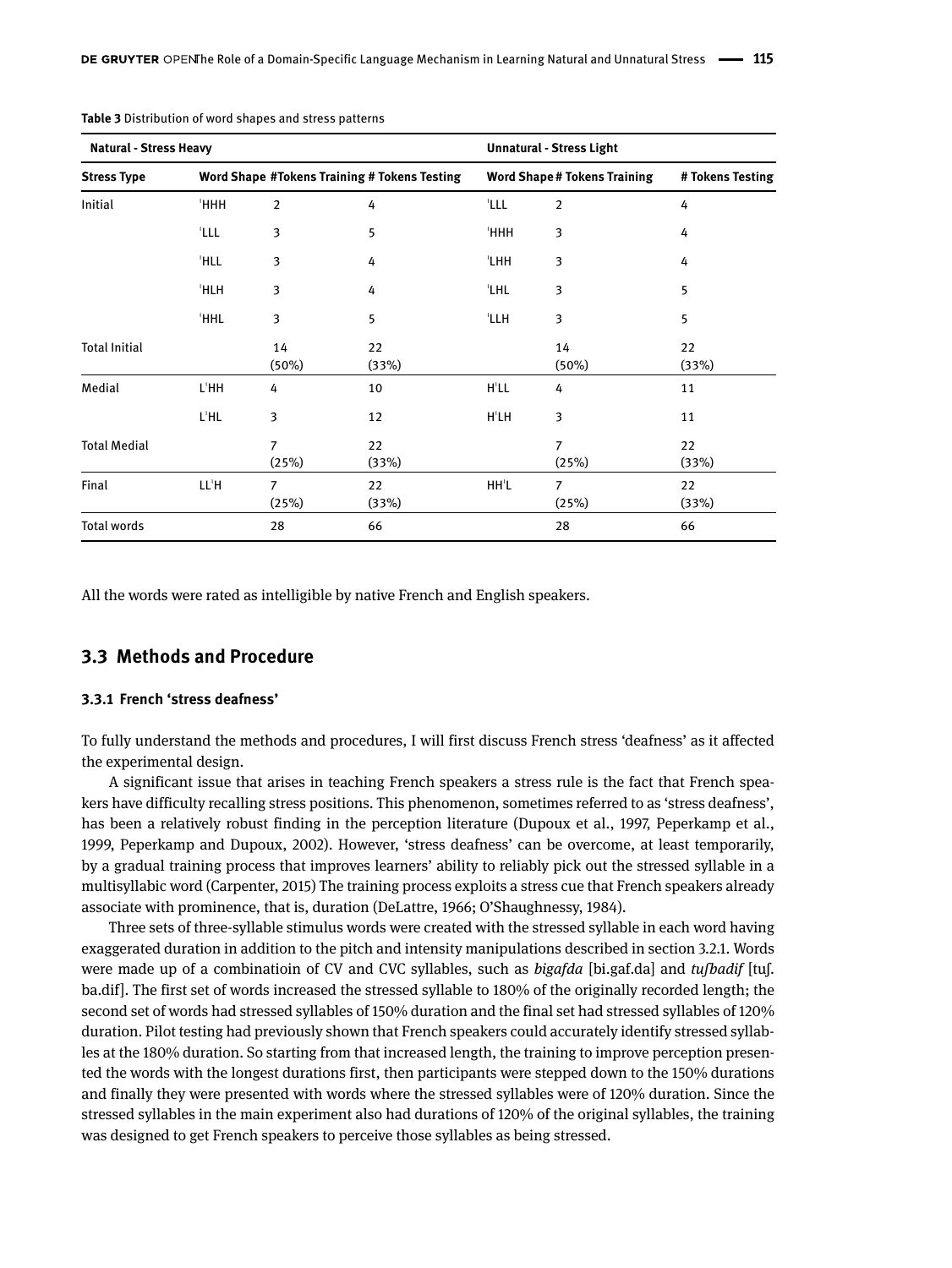|                      | <b>Natural - Stress Heavy</b> |                                              |             |      | <b>Unnatural - Stress Light</b>                         |             |  |  |
|----------------------|-------------------------------|----------------------------------------------|-------------|------|---------------------------------------------------------|-------------|--|--|
| <b>Stress Type</b>   |                               | Word Shape #Tokens Training # Tokens Testing |             |      | <b>Word Shape # Tokens Training</b><br># Tokens Testing |             |  |  |
| Initial              | 'HHH                          | $\overline{2}$                               | 4           | 'LLL | $\overline{2}$                                          | 4           |  |  |
|                      | 'LLL                          | 3                                            | 5           | 'ннн | 3                                                       | 4           |  |  |
|                      | 'HLL                          | 3                                            | 4           | 'LHH | 3                                                       | 4           |  |  |
|                      | 'HLH                          | 3                                            | 4           | 'LHL | 3                                                       | 5           |  |  |
|                      | 'HHL                          | 3                                            | 5           | 'LLH | 3                                                       | 5           |  |  |
| <b>Total Initial</b> |                               | 14<br>(50%)                                  | 22<br>(33%) |      | 14<br>(50%)                                             | 22<br>(33%) |  |  |
| Medial               | L'HH                          | 4                                            | 10          | H'LL | 4                                                       | 11          |  |  |
|                      | L'HL                          | 3                                            | 12          | H'LH | 3                                                       | 11          |  |  |
| <b>Total Medial</b>  |                               | 7<br>(25%)                                   | 22<br>(33%) |      | 7<br>(25%)                                              | 22<br>(33%) |  |  |
| Final                | LL'H                          | $\overline{7}$<br>(25%)                      | 22<br>(33%) | HH'L | $\overline{7}$<br>(25%)                                 | 22<br>(33%) |  |  |
| <b>Total words</b>   |                               | 28                                           | 66          |      | 28                                                      | 66          |  |  |

**Table 3** Distribution of word shapes and stress patterns

All the words were rated as intelligible by native French and English speakers.

#### **3.3 Methods and Procedure**

#### **3.3.1 French 'stress deafness'**

To fully understand the methods and procedures, I will first discuss French stress 'deafness' as it affected the experimental design.

A significant issue that arises in teaching French speakers a stress rule is the fact that French speakers have difficulty recalling stress positions. This phenomenon, sometimes referred to as 'stress deafness', has been a relatively robust finding in the perception literature (Dupoux et al., 1997, Peperkamp et al., 1999, Peperkamp and Dupoux, 2002). However, 'stress deafness' can be overcome, at least temporarily, by a gradual training process that improves learners' ability to reliably pick out the stressed syllable in a multisyllabic word (Carpenter, 2015) The training process exploits a stress cue that French speakers already associate with prominence, that is, duration (DeLattre, 1966; O'Shaughnessy, 1984).

Three sets of three-syllable stimulus words were created with the stressed syllable in each word having exaggerated duration in addition to the pitch and intensity manipulations described in section 3.2.1. Words were made up of a combinatioin of CV and CVC syllables, such as *bigafda* [bi.gaf.da] and *tuʃbadif* [tuʃ. ba.dif]. The first set of words increased the stressed syllable to 180% of the originally recorded length; the second set of words had stressed syllables of 150% duration and the final set had stressed syllables of 120% duration. Pilot testing had previously shown that French speakers could accurately identify stressed syllables at the 180% duration. So starting from that increased length, the training to improve perception presented the words with the longest durations first, then participants were stepped down to the 150% durations and finally they were presented with words where the stressed syllables were of 120% duration. Since the stressed syllables in the main experiment also had durations of 120% of the original syllables, the training was designed to get French speakers to perceive those syllables as being stressed.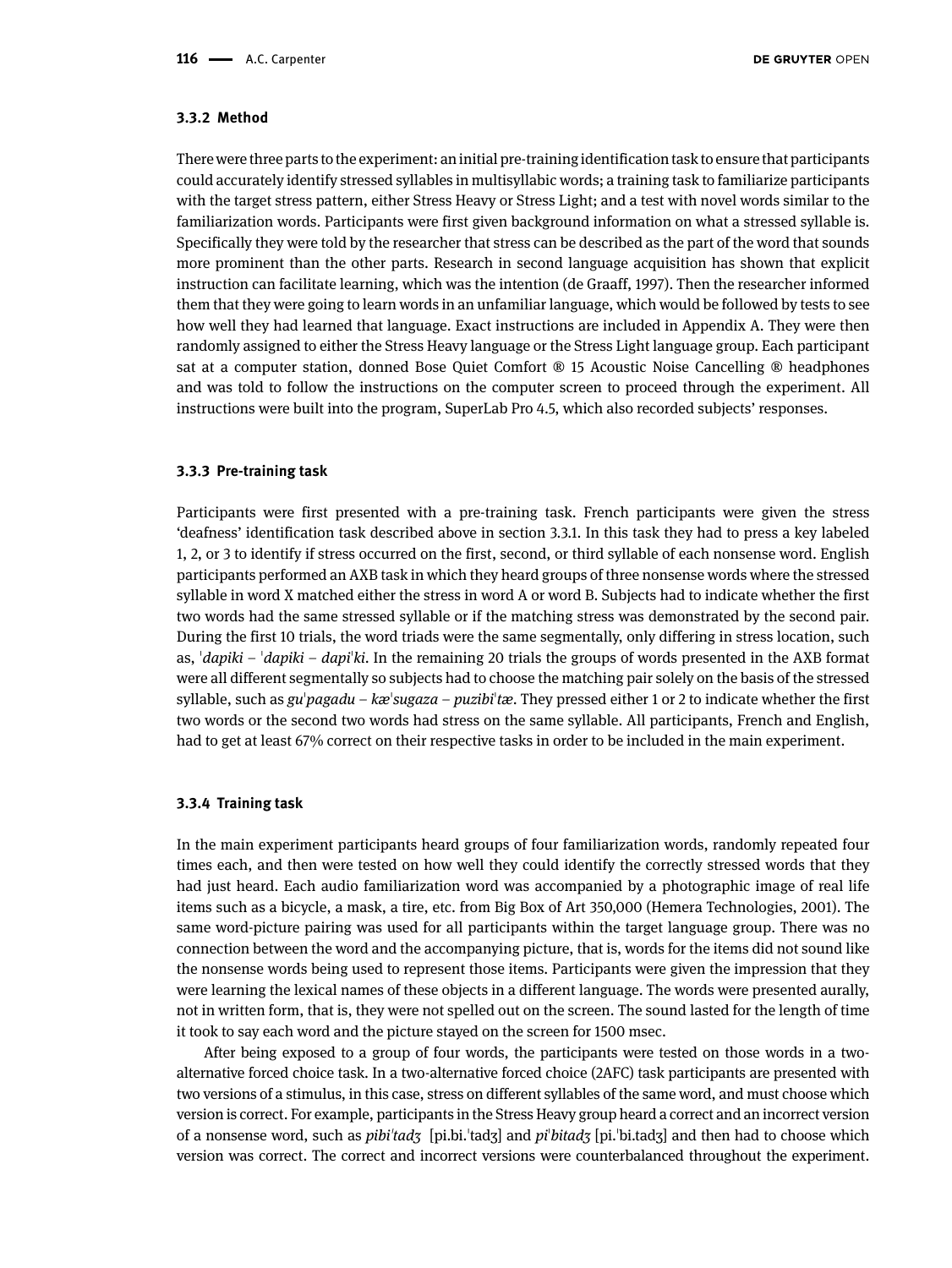#### **3.3.2 Method**

There were three parts to the experiment: an initial pre-training identification task to ensure that participants could accurately identify stressed syllables in multisyllabic words; a training task to familiarize participants with the target stress pattern, either Stress Heavy or Stress Light; and a test with novel words similar to the familiarization words. Participants were first given background information on what a stressed syllable is. Specifically they were told by the researcher that stress can be described as the part of the word that sounds more prominent than the other parts. Research in second language acquisition has shown that explicit instruction can facilitate learning, which was the intention (de Graaff, 1997). Then the researcher informed them that they were going to learn words in an unfamiliar language, which would be followed by tests to see how well they had learned that language. Exact instructions are included in Appendix A. They were then randomly assigned to either the Stress Heavy language or the Stress Light language group. Each participant sat at a computer station, donned Bose Quiet Comfort ® 15 Acoustic Noise Cancelling ® headphones and was told to follow the instructions on the computer screen to proceed through the experiment. All instructions were built into the program, SuperLab Pro 4.5, which also recorded subjects' responses.

#### **3.3.3 Pre-training task**

Participants were first presented with a pre-training task. French participants were given the stress 'deafness' identification task described above in section 3.3.1. In this task they had to press a key labeled 1, 2, or 3 to identify if stress occurred on the first, second, or third syllable of each nonsense word. English participants performed an AXB task in which they heard groups of three nonsense words where the stressed syllable in word X matched either the stress in word A or word B. Subjects had to indicate whether the first two words had the same stressed syllable or if the matching stress was demonstrated by the second pair. During the first 10 trials, the word triads were the same segmentally, only differing in stress location, such as, ˈ*dapiki –* ˈ*dapiki – dapi*ˈ*ki*. In the remaining 20 trials the groups of words presented in the AXB format were all different segmentally so subjects had to choose the matching pair solely on the basis of the stressed syllable, such as *gu*ˈ*pagadu – kæ*ˈ*sugaza – puzibi*ˈ*tæ*. They pressed either 1 or 2 to indicate whether the first two words or the second two words had stress on the same syllable. All participants, French and English, had to get at least 67% correct on their respective tasks in order to be included in the main experiment.

#### **3.3.4 Training task**

In the main experiment participants heard groups of four familiarization words, randomly repeated four times each, and then were tested on how well they could identify the correctly stressed words that they had just heard. Each audio familiarization word was accompanied by a photographic image of real life items such as a bicycle, a mask, a tire, etc. from Big Box of Art 350,000 (Hemera Technologies, 2001). The same word-picture pairing was used for all participants within the target language group. There was no connection between the word and the accompanying picture, that is, words for the items did not sound like the nonsense words being used to represent those items. Participants were given the impression that they were learning the lexical names of these objects in a different language. The words were presented aurally, not in written form, that is, they were not spelled out on the screen. The sound lasted for the length of time it took to say each word and the picture stayed on the screen for 1500 msec.

After being exposed to a group of four words, the participants were tested on those words in a twoalternative forced choice task. In a two-alternative forced choice (2AFC) task participants are presented with two versions of a stimulus, in this case, stress on different syllables of the same word, and must choose which version is correct. For example, participants in the Stress Heavy group heard a correct and an incorrect version of a nonsense word, such as *pibiˈtadʒ* [pi.bi.ˈtadʒ] and *pi*ˈ*bitadʒ* [pi.ˈbi.tadʒ] and then had to choose which version was correct. The correct and incorrect versions were counterbalanced throughout the experiment.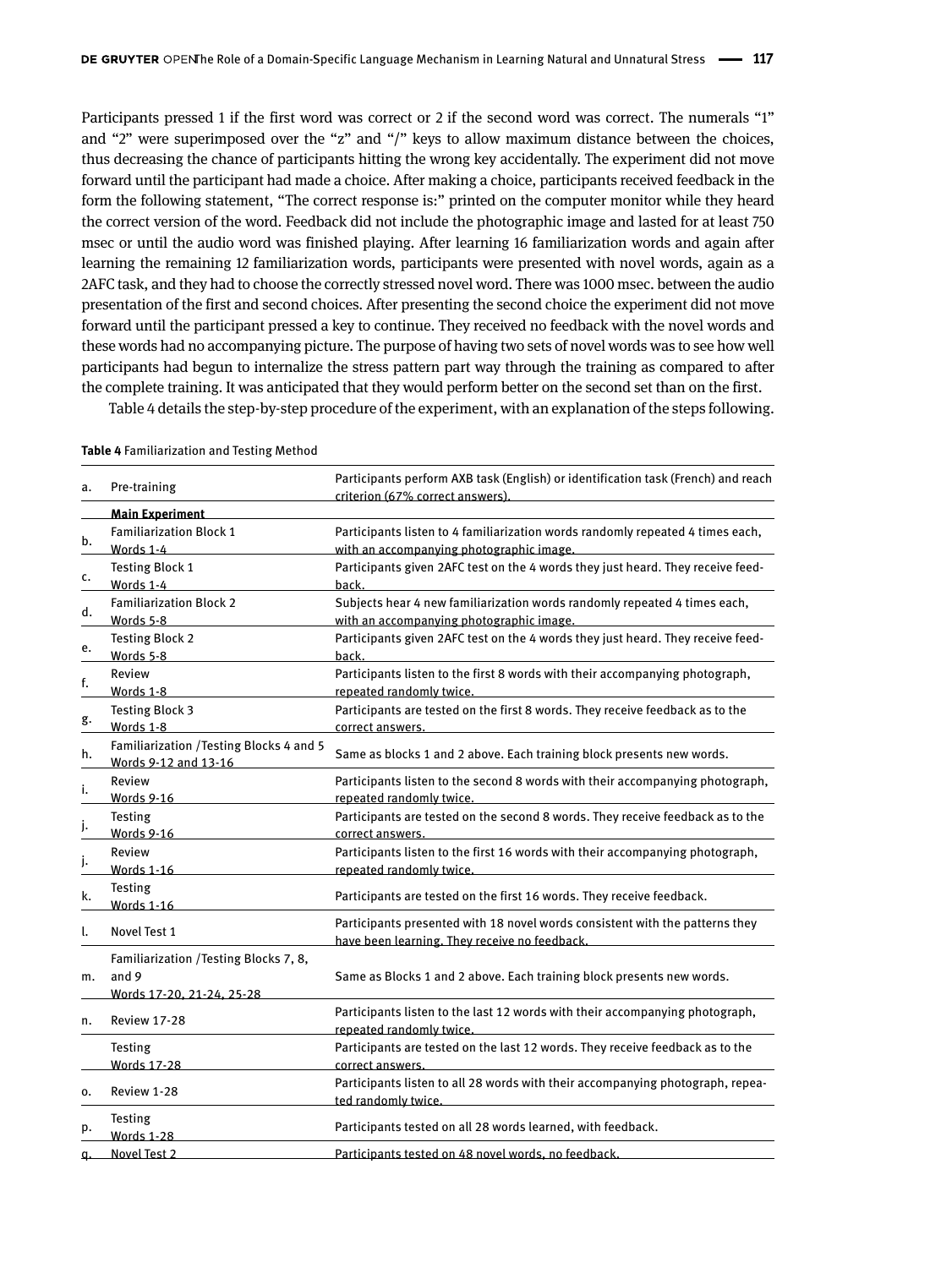Participants pressed 1 if the first word was correct or 2 if the second word was correct. The numerals "1" and "2" were superimposed over the "z" and "/" keys to allow maximum distance between the choices, thus decreasing the chance of participants hitting the wrong key accidentally. The experiment did not move forward until the participant had made a choice. After making a choice, participants received feedback in the form the following statement, "The correct response is:" printed on the computer monitor while they heard the correct version of the word. Feedback did not include the photographic image and lasted for at least 750 msec or until the audio word was finished playing. After learning 16 familiarization words and again after learning the remaining 12 familiarization words, participants were presented with novel words, again as a 2AFC task, and they had to choose the correctly stressed novel word. There was 1000 msec. between the audio presentation of the first and second choices. After presenting the second choice the experiment did not move forward until the participant pressed a key to continue. They received no feedback with the novel words and these words had no accompanying picture. The purpose of having two sets of novel words was to see how well participants had begun to internalize the stress pattern part way through the training as compared to after the complete training. It was anticipated that they would perform better on the second set than on the first.

Table 4 details the step-by-step procedure of the experiment, with an explanation of the steps following.

| a. | Pre-training                                                                 | Participants perform AXB task (English) or identification task (French) and reach<br>criterion (67% correct answers).         |
|----|------------------------------------------------------------------------------|-------------------------------------------------------------------------------------------------------------------------------|
|    | <b>Main Experiment</b>                                                       |                                                                                                                               |
| b. | <b>Familiarization Block 1</b><br>Words 1-4                                  | Participants listen to 4 familiarization words randomly repeated 4 times each,<br>with an accompanying photographic image.    |
| c. | <b>Testing Block 1</b><br>Words 1-4                                          | Participants given 2AFC test on the 4 words they just heard. They receive feed-<br>back.                                      |
| d. | <b>Familiarization Block 2</b><br>Words 5-8                                  | Subjects hear 4 new familiarization words randomly repeated 4 times each,<br>with an accompanying photographic image.         |
| e. | <b>Testing Block 2</b><br>Words 5-8                                          | Participants given 2AFC test on the 4 words they just heard. They receive feed-<br>back.                                      |
| f. | Review<br>Words 1-8                                                          | Participants listen to the first 8 words with their accompanying photograph,<br>repeated randomly twice.                      |
| g. | <b>Testing Block 3</b><br>Words 1-8                                          | Participants are tested on the first 8 words. They receive feedback as to the<br>correct answers.                             |
| h. | Familiarization / Testing Blocks 4 and 5<br>Words 9-12 and 13-16             | Same as blocks 1 and 2 above. Each training block presents new words.                                                         |
| i. | Review<br><b>Words 9-16</b>                                                  | Participants listen to the second 8 words with their accompanying photograph,<br>repeated randomly twice.                     |
| j. | Testing<br><b>Words 9-16</b>                                                 | Participants are tested on the second 8 words. They receive feedback as to the<br>correct answers.                            |
| j. | Review<br><b>Words 1-16</b>                                                  | Participants listen to the first 16 words with their accompanying photograph,<br>repeated randomly twice.                     |
| k. | Testing<br><b>Words 1-16</b>                                                 | Participants are tested on the first 16 words. They receive feedback.                                                         |
| ι. | Novel Test 1                                                                 | Participants presented with 18 novel words consistent with the patterns they<br>have been learning. They receive no feedback. |
| m. | Familiarization / Testing Blocks 7, 8,<br>and 9<br>Words 17-20, 21-24, 25-28 | Same as Blocks 1 and 2 above. Each training block presents new words.                                                         |
| n. | <b>Review 17-28</b>                                                          | Participants listen to the last 12 words with their accompanying photograph,<br>repeated randomly twice.                      |
|    | Testing<br><b>Words 17-28</b>                                                | Participants are tested on the last 12 words. They receive feedback as to the<br>correct answers.                             |
| 0. | Review 1-28                                                                  | Participants listen to all 28 words with their accompanying photograph, repea-<br>ted randomly twice.                         |
| p. | Testing<br><b>Words 1-28</b>                                                 | Participants tested on all 28 words learned, with feedback.                                                                   |
| ₫. | <b>Novel Test 2</b>                                                          | Participants tested on 48 novel words, no feedback.                                                                           |

**Table 4** Familiarization and Testing Method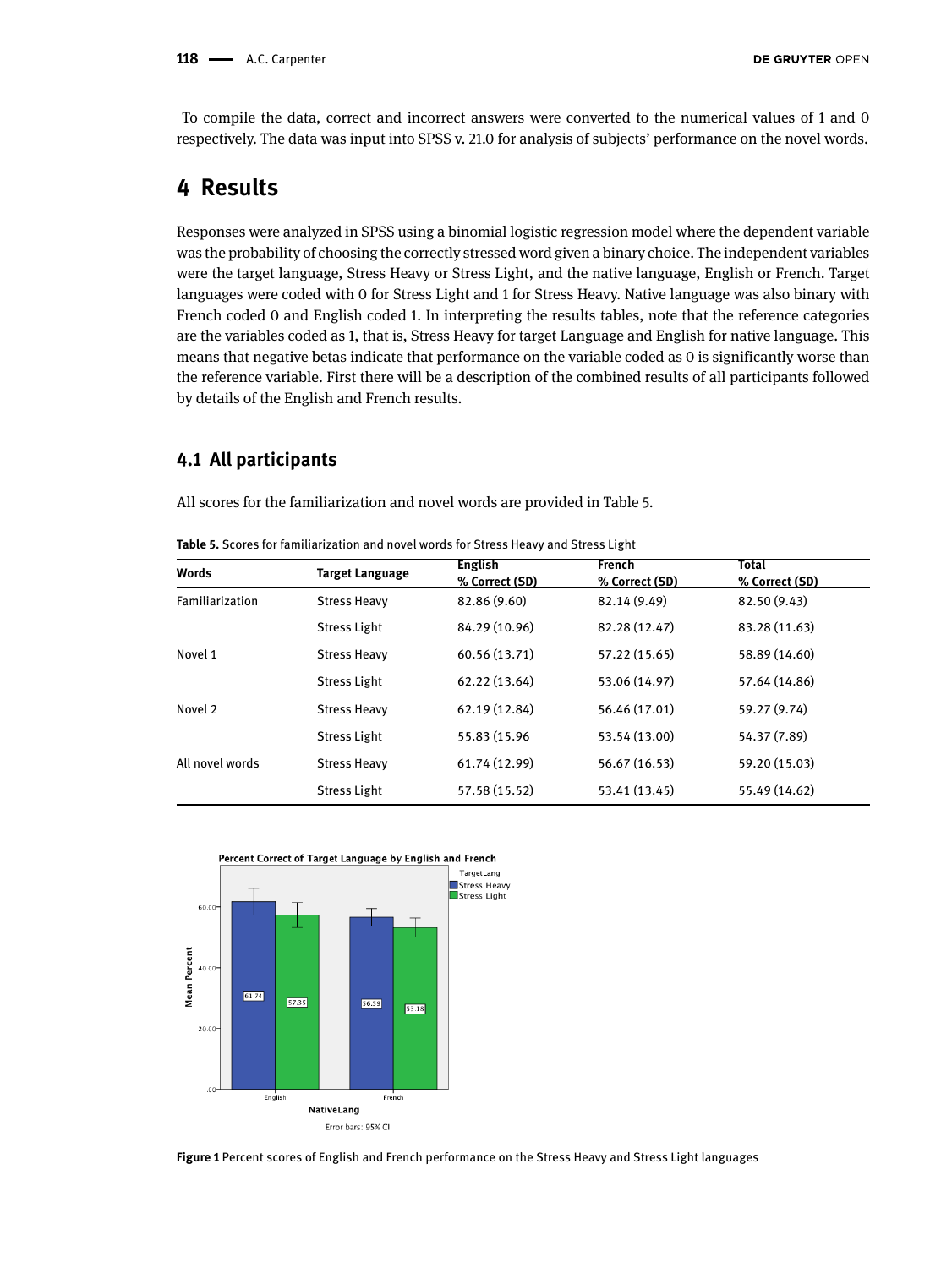To compile the data, correct and incorrect answers were converted to the numerical values of 1 and 0 respectively. The data was input into SPSS v. 21.0 for analysis of subjects' performance on the novel words.

### **4 Results**

Responses were analyzed in SPSS using a binomial logistic regression model where the dependent variable was the probability of choosing the correctly stressed word given a binary choice. The independent variables were the target language, Stress Heavy or Stress Light, and the native language, English or French. Target languages were coded with 0 for Stress Light and 1 for Stress Heavy. Native language was also binary with French coded 0 and English coded 1. In interpreting the results tables, note that the reference categories are the variables coded as 1, that is, Stress Heavy for target Language and English for native language. This means that negative betas indicate that performance on the variable coded as 0 is significantly worse than the reference variable. First there will be a description of the combined results of all participants followed by details of the English and French results.

### **4.1 All participants**

All scores for the familiarization and novel words are provided in Table 5.

**Table 5.** Scores for familiarization and novel words for Stress Heavy and Stress Light

| <b>Words</b>    | <b>Target Language</b> | <b>English</b><br>% Correct (SD) | <b>French</b><br>% Correct (SD) | Total<br>% Correct (SD) |
|-----------------|------------------------|----------------------------------|---------------------------------|-------------------------|
| Familiarization | <b>Stress Heavy</b>    | 82.86 (9.60)                     | 82.14 (9.49)                    | 82.50 (9.43)            |
|                 | <b>Stress Light</b>    | 84.29 (10.96)                    | 82.28 (12.47)                   | 83.28 (11.63)           |
| Novel 1         | <b>Stress Heavy</b>    | 60.56 (13.71)                    | 57.22 (15.65)                   | 58.89 (14.60)           |
|                 | <b>Stress Light</b>    | 62.22 (13.64)                    | 53.06 (14.97)                   | 57.64 (14.86)           |
| Novel 2         | <b>Stress Heavy</b>    | 62.19 (12.84)                    | 56.46 (17.01)                   | 59.27 (9.74)            |
|                 | <b>Stress Light</b>    | 55.83 (15.96)                    | 53.54 (13.00)                   | 54.37 (7.89)            |
| All novel words | <b>Stress Heavy</b>    | 61.74 (12.99)                    | 56.67 (16.53)                   | 59.20 (15.03)           |
|                 | <b>Stress Light</b>    | 57.58 (15.52)                    | 53.41 (13.45)                   | 55.49 (14.62)           |



**Figure 1** Percent scores of English and French performance on the Stress Heavy and Stress Light languages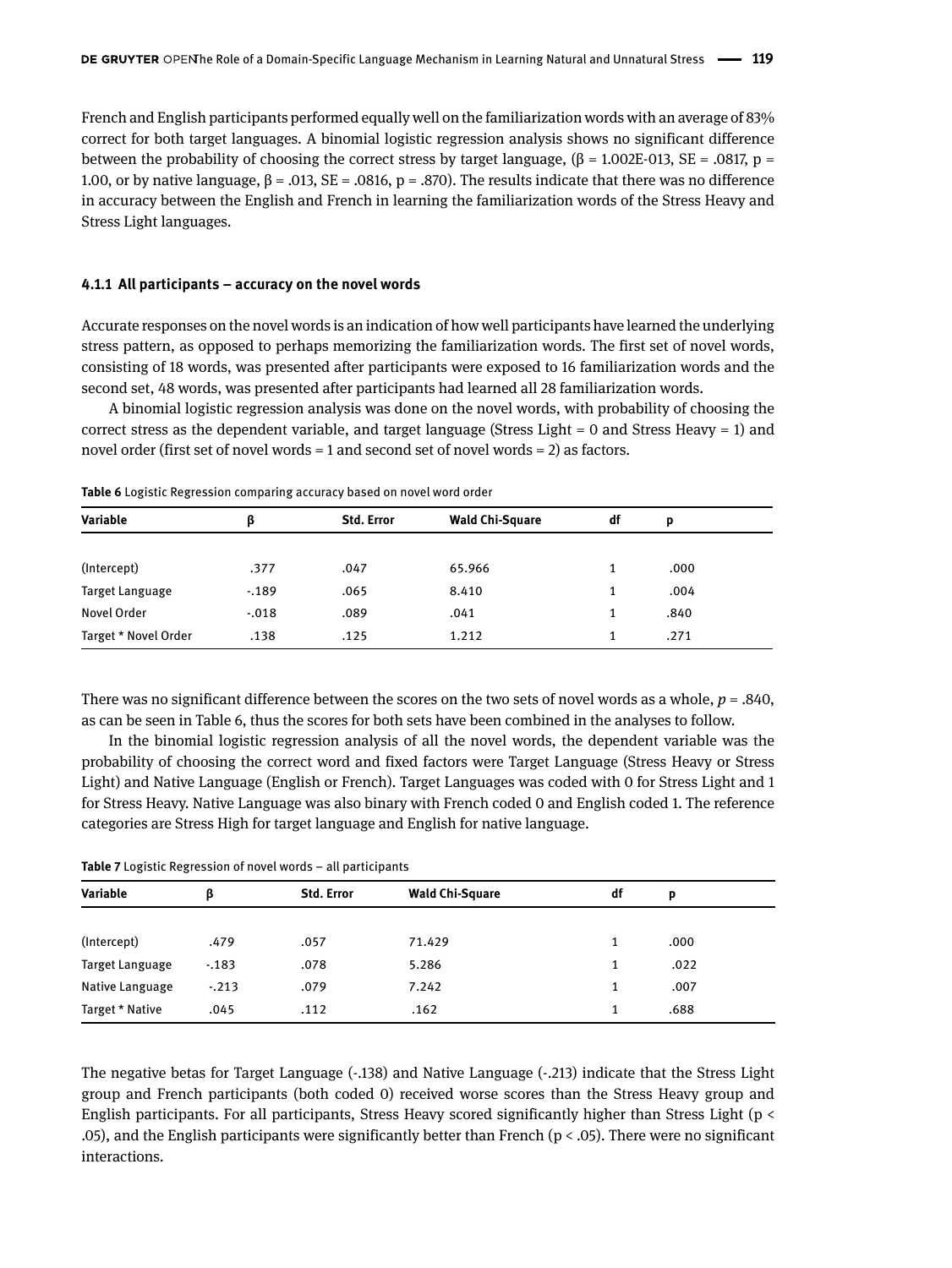French and English participants performed equally well on the familiarization words with an average of 83% correct for both target languages. A binomial logistic regression analysis shows no significant difference between the probability of choosing the correct stress by target language, ( $\beta$  = 1.002E-013, SE = .0817, p = 1.00, or by native language,  $β = .013$ ,  $SE = .0816$ ,  $p = .870$ ). The results indicate that there was no difference in accuracy between the English and French in learning the familiarization words of the Stress Heavy and Stress Light languages.

#### **4.1.1 All participants – accuracy on the novel words**

Accurate responses on the novel words is an indication of how well participants have learned the underlying stress pattern, as opposed to perhaps memorizing the familiarization words. The first set of novel words, consisting of 18 words, was presented after participants were exposed to 16 familiarization words and the second set, 48 words, was presented after participants had learned all 28 familiarization words.

A binomial logistic regression analysis was done on the novel words, with probability of choosing the correct stress as the dependent variable, and target language (Stress Light = 0 and Stress Heavy = 1) and novel order (first set of novel words = 1 and second set of novel words = 2) as factors.

| Variable               | ß       | <b>Std. Error</b> | <b>Wald Chi-Square</b> | df | p    |  |
|------------------------|---------|-------------------|------------------------|----|------|--|
|                        |         |                   |                        |    |      |  |
| (Intercept)            | .377    | .047              | 65.966                 | 1  | .000 |  |
| <b>Target Language</b> | $-189$  | .065              | 8.410                  | 1  | .004 |  |
| Novel Order            | $-.018$ | .089              | .041                   | 1  | .840 |  |
| Target * Novel Order   | .138    | .125              | 1.212                  | 1  | .271 |  |

**Table 6** Logistic Regression comparing accuracy based on novel word order

There was no significant difference between the scores on the two sets of novel words as a whole, *p* = .840, as can be seen in Table 6, thus the scores for both sets have been combined in the analyses to follow.

In the binomial logistic regression analysis of all the novel words, the dependent variable was the probability of choosing the correct word and fixed factors were Target Language (Stress Heavy or Stress Light) and Native Language (English or French). Target Languages was coded with 0 for Stress Light and 1 for Stress Heavy. Native Language was also binary with French coded 0 and English coded 1. The reference categories are Stress High for target language and English for native language.

|  |  |  |  |  | Table 7 Logistic Regression of novel words - all participants |
|--|--|--|--|--|---------------------------------------------------------------|
|--|--|--|--|--|---------------------------------------------------------------|

| Variable        | ß       | <b>Std. Error</b> | <b>Wald Chi-Square</b> | df | р    |  |
|-----------------|---------|-------------------|------------------------|----|------|--|
|                 |         |                   |                        |    |      |  |
| (Intercept)     | .479    | .057              | 71.429                 |    | .000 |  |
| Target Language | $-183$  | .078              | 5.286                  |    | .022 |  |
| Native Language | $-.213$ | .079              | 7.242                  |    | .007 |  |
| Target * Native | .045    | .112              | .162                   |    | .688 |  |

The negative betas for Target Language (-.138) and Native Language (-.213) indicate that the Stress Light group and French participants (both coded 0) received worse scores than the Stress Heavy group and English participants. For all participants, Stress Heavy scored significantly higher than Stress Light (p < .05), and the English participants were significantly better than French ( $p < .05$ ). There were no significant interactions.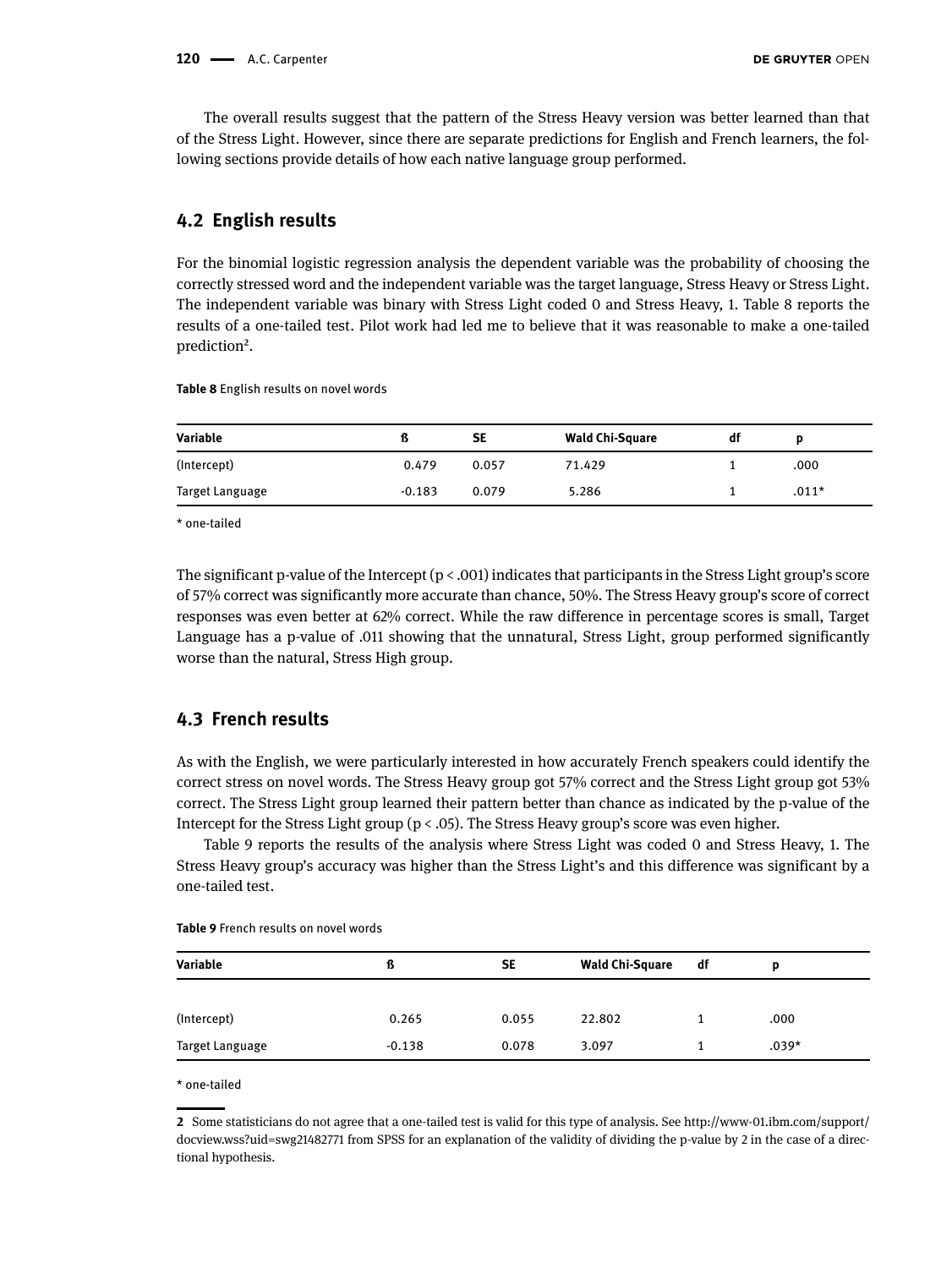The overall results suggest that the pattern of the Stress Heavy version was better learned than that of the Stress Light. However, since there are separate predictions for English and French learners, the following sections provide details of how each native language group performed.

#### **4.2 English results**

For the binomial logistic regression analysis the dependent variable was the probability of choosing the correctly stressed word and the independent variable was the target language, Stress Heavy or Stress Light. The independent variable was binary with Stress Light coded 0 and Stress Heavy, 1. Table 8 reports the results of a one-tailed test. Pilot work had led me to believe that it was reasonable to make a one-tailed prediction<sup>2</sup>.

**Table 8** English results on novel words

| Variable        |          | SE    | <b>Wald Chi-Square</b> | df |         |
|-----------------|----------|-------|------------------------|----|---------|
| (Intercept)     | 0.479    | 0.057 | 71.429                 |    | .000    |
| Target Language | $-0.183$ | 0.079 | 5.286                  |    | $.011*$ |

\* one-tailed

The significant p-value of the Intercept ( $p < .001$ ) indicates that participants in the Stress Light group's score of 57% correct was significantly more accurate than chance, 50%. The Stress Heavy group's score of correct responses was even better at 62% correct. While the raw difference in percentage scores is small, Target Language has a p-value of .011 showing that the unnatural, Stress Light, group performed significantly worse than the natural, Stress High group.

#### **4.3 French results**

As with the English, we were particularly interested in how accurately French speakers could identify the correct stress on novel words. The Stress Heavy group got 57% correct and the Stress Light group got 53% correct. The Stress Light group learned their pattern better than chance as indicated by the p-value of the Intercept for the Stress Light group ( $p < .05$ ). The Stress Heavy group's score was even higher.

Table 9 reports the results of the analysis where Stress Light was coded 0 and Stress Heavy, 1. The Stress Heavy group's accuracy was higher than the Stress Light's and this difference was significant by a one-tailed test.

| Variable        | ß        | SE    | <b>Wald Chi-Square</b> | df | D       |  |
|-----------------|----------|-------|------------------------|----|---------|--|
|                 |          |       |                        |    |         |  |
| (Intercept)     | 0.265    | 0.055 | 22.802                 |    | .000    |  |
| Target Language | $-0.138$ | 0.078 | 3.097                  |    | $.039*$ |  |

**Table 9** French results on novel words

\* one-tailed

**2** Some statisticians do not agree that a one-tailed test is valid for this type of analysis. See http://www-01.ibm.com/support/ docview.wss?uid=swg21482771 from SPSS for an explanation of the validity of dividing the p-value by 2 in the case of a directional hypothesis.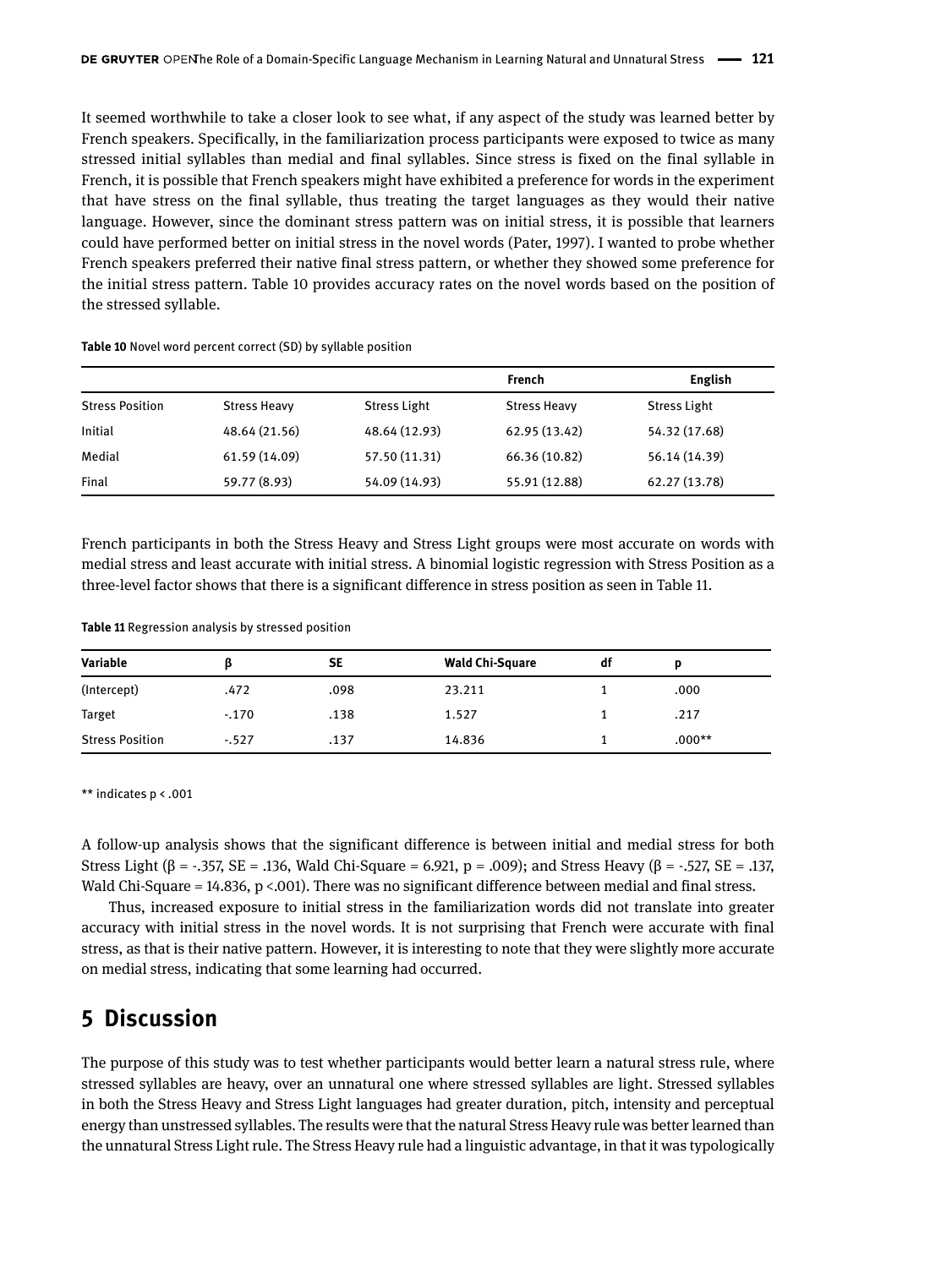It seemed worthwhile to take a closer look to see what, if any aspect of the study was learned better by French speakers. Specifically, in the familiarization process participants were exposed to twice as many stressed initial syllables than medial and final syllables. Since stress is fixed on the final syllable in French, it is possible that French speakers might have exhibited a preference for words in the experiment that have stress on the final syllable, thus treating the target languages as they would their native language. However, since the dominant stress pattern was on initial stress, it is possible that learners could have performed better on initial stress in the novel words (Pater, 1997). I wanted to probe whether French speakers preferred their native final stress pattern, or whether they showed some preference for the initial stress pattern. Table 10 provides accuracy rates on the novel words based on the position of the stressed syllable.

|                        |                     |               | French              | <b>English</b> |
|------------------------|---------------------|---------------|---------------------|----------------|
| <b>Stress Position</b> | <b>Stress Heavy</b> | Stress Light  | <b>Stress Heavy</b> | Stress Light   |
| Initial                | 48.64 (21.56)       | 48.64 (12.93) | 62.95 (13.42)       | 54.32 (17.68)  |
| Medial                 | 61.59 (14.09)       | 57.50 (11.31) | 66.36 (10.82)       | 56.14 (14.39)  |
| Final                  | 59.77 (8.93)        | 54.09 (14.93) | 55.91 (12.88)       | 62.27 (13.78)  |

**Table 10** Novel word percent correct (SD) by syllable position

French participants in both the Stress Heavy and Stress Light groups were most accurate on words with medial stress and least accurate with initial stress. A binomial logistic regression with Stress Position as a three-level factor shows that there is a significant difference in stress position as seen in Table 11.

**Table 11** Regression analysis by stressed position

| Variable               |         | <b>SE</b> | <b>Wald Chi-Square</b> | dt |          |
|------------------------|---------|-----------|------------------------|----|----------|
| (Intercept)            | .472    | .098      | 23.211                 |    | .000     |
| Target                 | $-.170$ | .138      | 1.527                  |    | .217     |
| <b>Stress Position</b> | $-.527$ | .137      | 14.836                 |    | $.000**$ |

\*\* indicates p < .001

A follow-up analysis shows that the significant difference is between initial and medial stress for both Stress Light (β = -.357, SE = .136, Wald Chi-Square = 6.921, p = .009); and Stress Heavy (β = -.527, SE = .137, Wald Chi-Square = 14.836, p <.001). There was no significant difference between medial and final stress.

Thus, increased exposure to initial stress in the familiarization words did not translate into greater accuracy with initial stress in the novel words. It is not surprising that French were accurate with final stress, as that is their native pattern. However, it is interesting to note that they were slightly more accurate on medial stress, indicating that some learning had occurred.

### **5 Discussion**

The purpose of this study was to test whether participants would better learn a natural stress rule, where stressed syllables are heavy, over an unnatural one where stressed syllables are light. Stressed syllables in both the Stress Heavy and Stress Light languages had greater duration, pitch, intensity and perceptual energy than unstressed syllables. The results were that the natural Stress Heavy rule was better learned than the unnatural Stress Light rule. The Stress Heavy rule had a linguistic advantage, in that it was typologically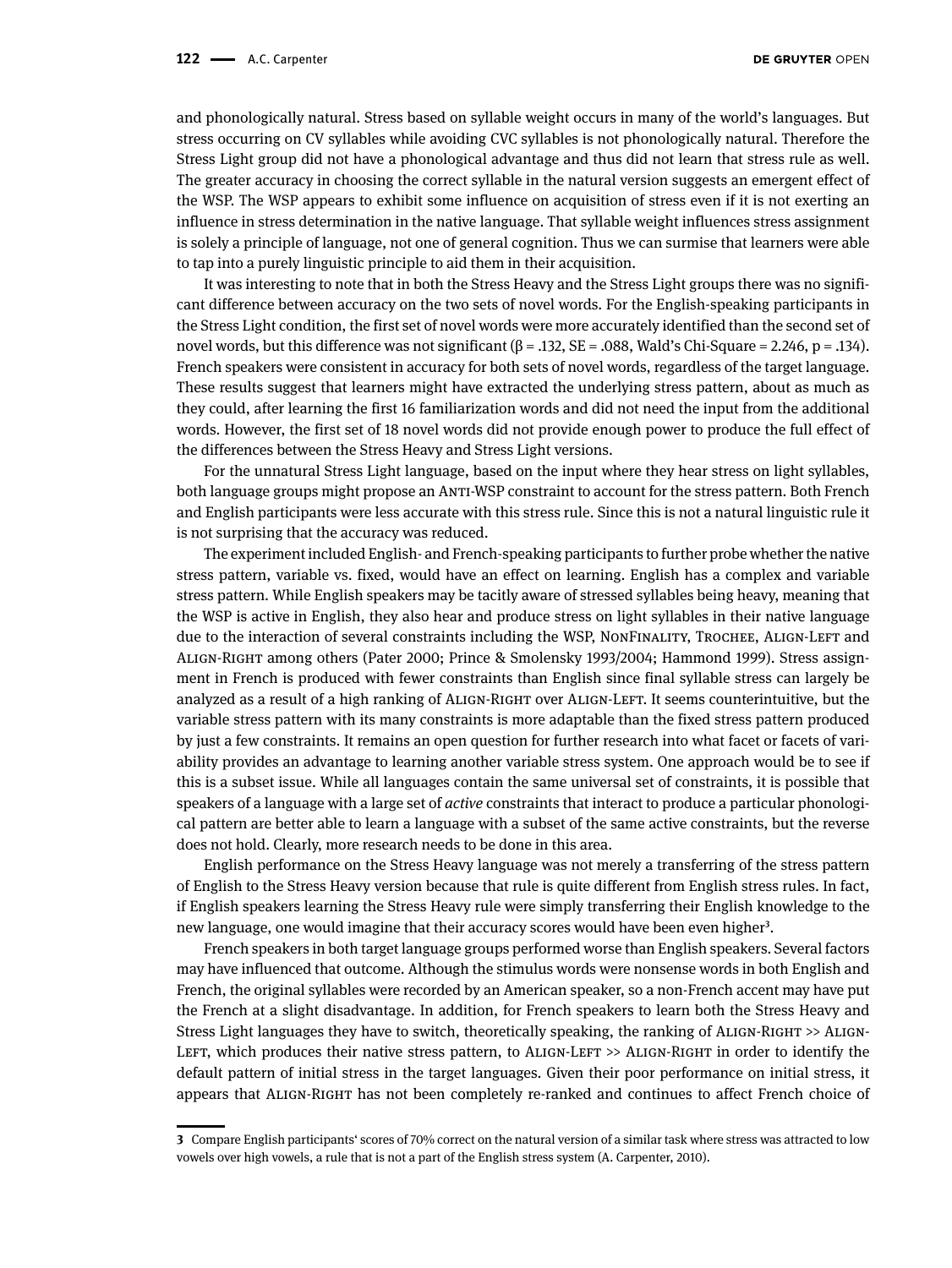and phonologically natural. Stress based on syllable weight occurs in many of the world's languages. But stress occurring on CV syllables while avoiding CVC syllables is not phonologically natural. Therefore the Stress Light group did not have a phonological advantage and thus did not learn that stress rule as well. The greater accuracy in choosing the correct syllable in the natural version suggests an emergent effect of the WSP. The WSP appears to exhibit some influence on acquisition of stress even if it is not exerting an influence in stress determination in the native language. That syllable weight influences stress assignment is solely a principle of language, not one of general cognition. Thus we can surmise that learners were able to tap into a purely linguistic principle to aid them in their acquisition.

It was interesting to note that in both the Stress Heavy and the Stress Light groups there was no significant difference between accuracy on the two sets of novel words. For the English-speaking participants in the Stress Light condition, the first set of novel words were more accurately identified than the second set of novel words, but this difference was not significant  $(\beta = .132, SE = .088, Wald's Chi-Square = 2.246, p = .134)$ . French speakers were consistent in accuracy for both sets of novel words, regardless of the target language. These results suggest that learners might have extracted the underlying stress pattern, about as much as they could, after learning the first 16 familiarization words and did not need the input from the additional words. However, the first set of 18 novel words did not provide enough power to produce the full effect of the differences between the Stress Heavy and Stress Light versions.

For the unnatural Stress Light language, based on the input where they hear stress on light syllables, both language groups might propose an Anti-WSP constraint to account for the stress pattern. Both French and English participants were less accurate with this stress rule. Since this is not a natural linguistic rule it is not surprising that the accuracy was reduced.

The experiment included English- and French-speaking participants to further probe whether the native stress pattern, variable vs. fixed, would have an effect on learning. English has a complex and variable stress pattern. While English speakers may be tacitly aware of stressed syllables being heavy, meaning that the WSP is active in English, they also hear and produce stress on light syllables in their native language due to the interaction of several constraints including the WSP, NONFINALITY, TROCHEE, ALIGN-LEFT and Align-Right among others (Pater 2000; Prince & Smolensky 1993/2004; Hammond 1999). Stress assignment in French is produced with fewer constraints than English since final syllable stress can largely be analyzed as a result of a high ranking of ALIGN-RIGHT over ALIGN-LEFT. It seems counterintuitive, but the variable stress pattern with its many constraints is more adaptable than the fixed stress pattern produced by just a few constraints. It remains an open question for further research into what facet or facets of variability provides an advantage to learning another variable stress system. One approach would be to see if this is a subset issue. While all languages contain the same universal set of constraints, it is possible that speakers of a language with a large set of *active* constraints that interact to produce a particular phonological pattern are better able to learn a language with a subset of the same active constraints, but the reverse does not hold. Clearly, more research needs to be done in this area.

English performance on the Stress Heavy language was not merely a transferring of the stress pattern of English to the Stress Heavy version because that rule is quite different from English stress rules. In fact, if English speakers learning the Stress Heavy rule were simply transferring their English knowledge to the new language, one would imagine that their accuracy scores would have been even higher<sup>3</sup>.

French speakers in both target language groups performed worse than English speakers. Several factors may have influenced that outcome. Although the stimulus words were nonsense words in both English and French, the original syllables were recorded by an American speaker, so a non-French accent may have put the French at a slight disadvantage. In addition, for French speakers to learn both the Stress Heavy and Stress Light languages they have to switch, theoretically speaking, the ranking of Align-Right >> Align-LEFT, which produces their native stress pattern, to ALIGN-LEFT >> ALIGN-RIGHT in order to identify the default pattern of initial stress in the target languages. Given their poor performance on initial stress, it appears that ALIGN-RIGHT has not been completely re-ranked and continues to affect French choice of

**<sup>3</sup>** Compare English participants' scores of 70% correct on the natural version of a similar task where stress was attracted to low vowels over high vowels, a rule that is not a part of the English stress system (A. Carpenter, 2010).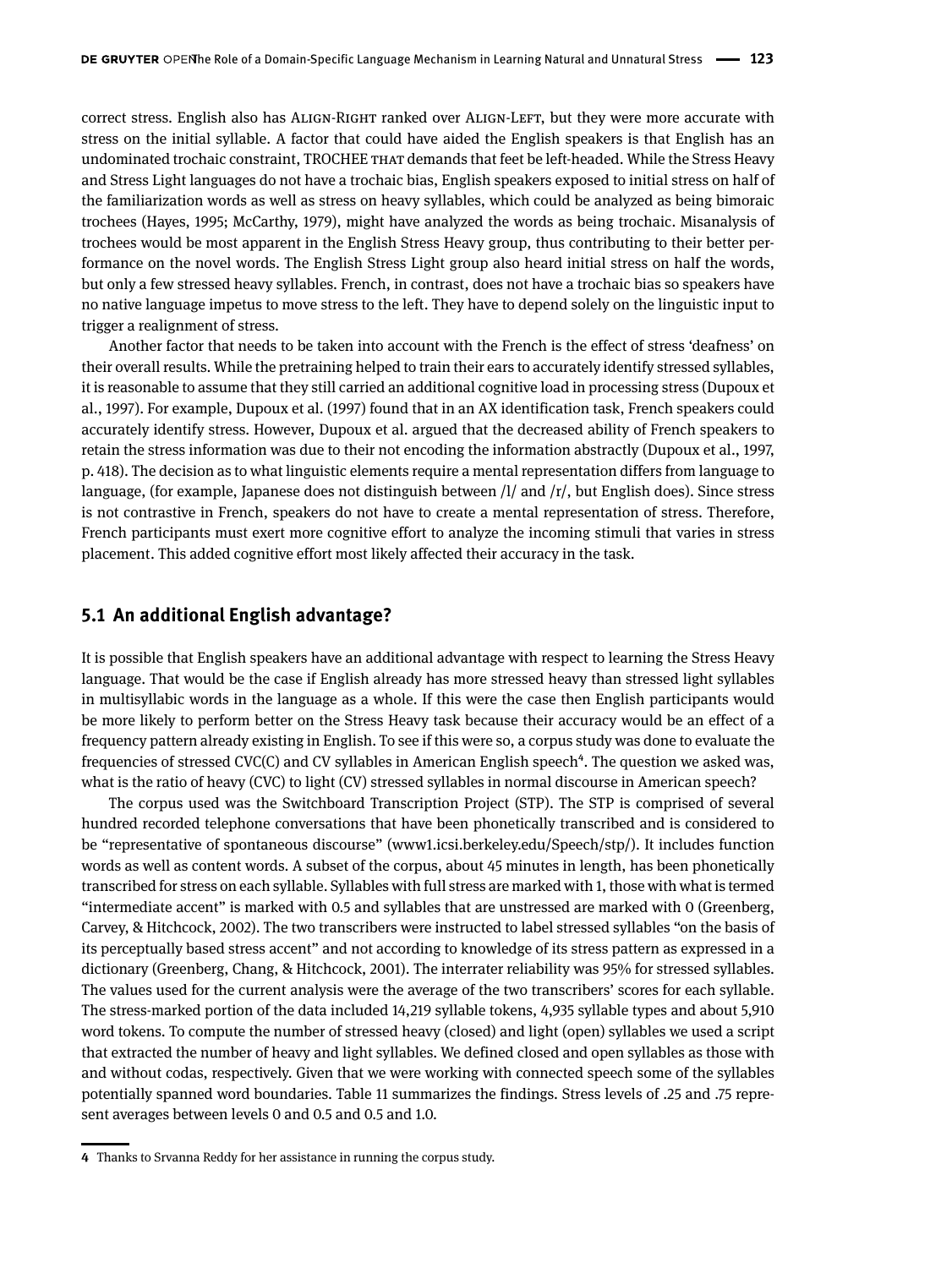correct stress. English also has Align-Right ranked over Align-Left, but they were more accurate with stress on the initial syllable. A factor that could have aided the English speakers is that English has an undominated trochaic constraint, TROCHEE that demands that feet be left-headed. While the Stress Heavy and Stress Light languages do not have a trochaic bias, English speakers exposed to initial stress on half of the familiarization words as well as stress on heavy syllables, which could be analyzed as being bimoraic trochees (Hayes, 1995; McCarthy, 1979), might have analyzed the words as being trochaic. Misanalysis of trochees would be most apparent in the English Stress Heavy group, thus contributing to their better performance on the novel words. The English Stress Light group also heard initial stress on half the words, but only a few stressed heavy syllables. French, in contrast, does not have a trochaic bias so speakers have no native language impetus to move stress to the left. They have to depend solely on the linguistic input to trigger a realignment of stress.

Another factor that needs to be taken into account with the French is the effect of stress 'deafness' on their overall results. While the pretraining helped to train their ears to accurately identify stressed syllables, it is reasonable to assume that they still carried an additional cognitive load in processing stress (Dupoux et al., 1997). For example, Dupoux et al. (1997) found that in an AX identification task, French speakers could accurately identify stress. However, Dupoux et al. argued that the decreased ability of French speakers to retain the stress information was due to their not encoding the information abstractly (Dupoux et al., 1997, p. 418). The decision as to what linguistic elements require a mental representation differs from language to language, (for example, Japanese does not distinguish between /l/ and /r/, but English does). Since stress is not contrastive in French, speakers do not have to create a mental representation of stress. Therefore, French participants must exert more cognitive effort to analyze the incoming stimuli that varies in stress placement. This added cognitive effort most likely affected their accuracy in the task.

#### **5.1 An additional English advantage?**

It is possible that English speakers have an additional advantage with respect to learning the Stress Heavy language. That would be the case if English already has more stressed heavy than stressed light syllables in multisyllabic words in the language as a whole. If this were the case then English participants would be more likely to perform better on the Stress Heavy task because their accuracy would be an effect of a frequency pattern already existing in English. To see if this were so, a corpus study was done to evaluate the frequencies of stressed CVC(C) and CV syllables in American English speech<sup>4</sup>. The question we asked was, what is the ratio of heavy (CVC) to light (CV) stressed syllables in normal discourse in American speech?

The corpus used was the Switchboard Transcription Project (STP). The STP is comprised of several hundred recorded telephone conversations that have been phonetically transcribed and is considered to be "representative of spontaneous discourse" (www1.icsi.berkeley.edu/Speech/stp/). It includes function words as well as content words. A subset of the corpus, about 45 minutes in length, has been phonetically transcribed for stress on each syllable. Syllables with full stress are marked with 1, those with what is termed "intermediate accent" is marked with 0.5 and syllables that are unstressed are marked with 0 (Greenberg, Carvey, & Hitchcock, 2002). The two transcribers were instructed to label stressed syllables "on the basis of its perceptually based stress accent" and not according to knowledge of its stress pattern as expressed in a dictionary (Greenberg, Chang, & Hitchcock, 2001). The interrater reliability was 95% for stressed syllables. The values used for the current analysis were the average of the two transcribers' scores for each syllable. The stress-marked portion of the data included 14,219 syllable tokens, 4,935 syllable types and about 5,910 word tokens. To compute the number of stressed heavy (closed) and light (open) syllables we used a script that extracted the number of heavy and light syllables. We defined closed and open syllables as those with and without codas, respectively. Given that we were working with connected speech some of the syllables potentially spanned word boundaries. Table 11 summarizes the findings. Stress levels of .25 and .75 represent averages between levels 0 and 0.5 and 0.5 and 1.0.

**<sup>4</sup>** Thanks to Srvanna Reddy for her assistance in running the corpus study.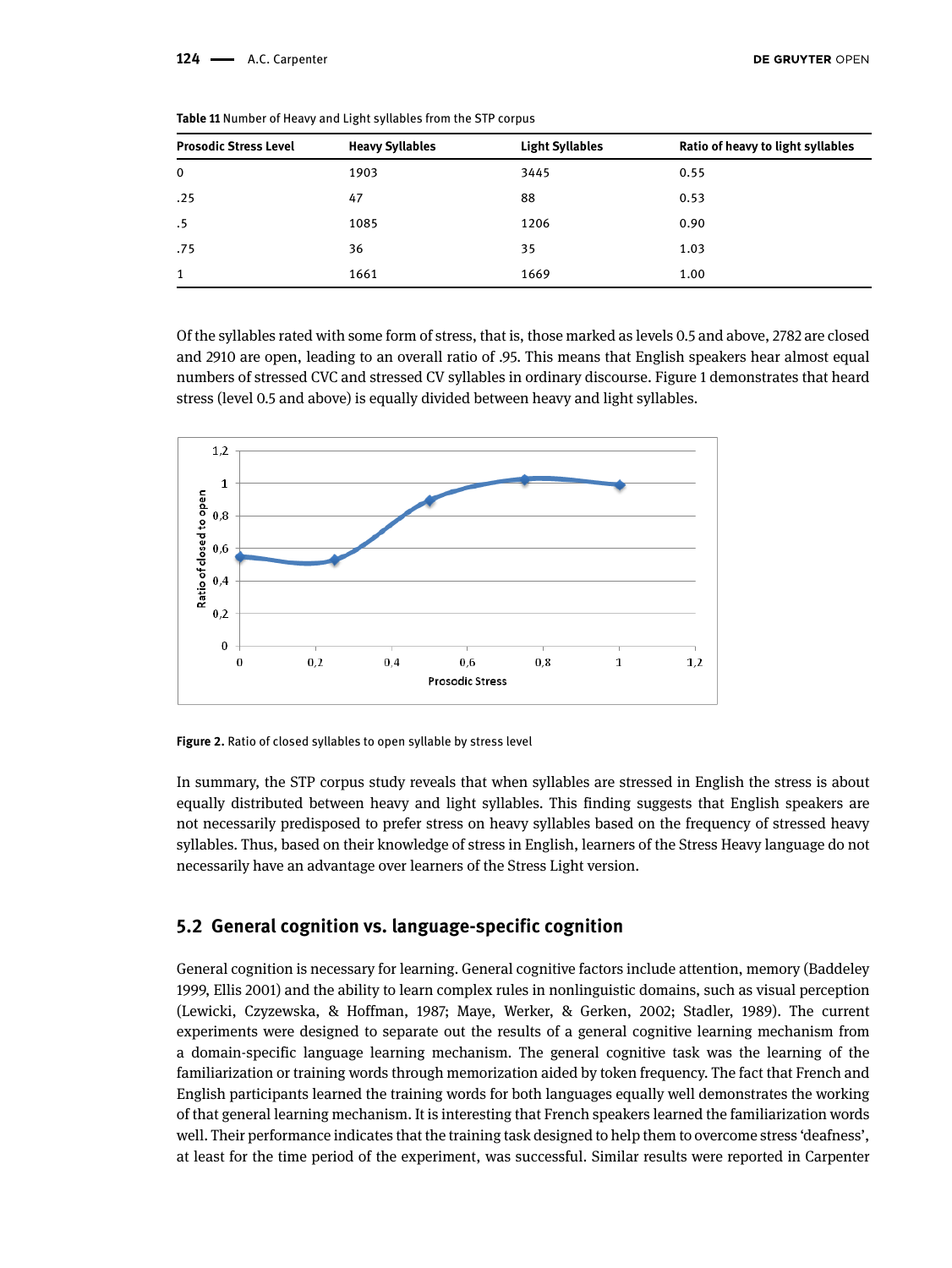| <b>Prosodic Stress Level</b> | <b>Heavy Syllables</b> | <b>Light Syllables</b> | Ratio of heavy to light syllables |
|------------------------------|------------------------|------------------------|-----------------------------------|
| $\mathbf 0$                  | 1903                   | 3445                   | 0.55                              |
| .25                          | 47                     | 88                     | 0.53                              |
| .5                           | 1085                   | 1206                   | 0.90                              |
| .75                          | 36                     | 35                     | 1.03                              |
| 1                            | 1661                   | 1669                   | 1.00                              |

**Table 11** Number of Heavy and Light syllables from the STP corpus

Of the syllables rated with some form of stress, that is, those marked as levels 0.5 and above, 2782 are closed and 2910 are open, leading to an overall ratio of .95. This means that English speakers hear almost equal numbers of stressed CVC and stressed CV syllables in ordinary discourse. Figure 1 demonstrates that heard stress (level 0.5 and above) is equally divided between heavy and light syllables.



**Figure 2.** Ratio of closed syllables to open syllable by stress level

In summary, the STP corpus study reveals that when syllables are stressed in English the stress is about equally distributed between heavy and light syllables. This finding suggests that English speakers are not necessarily predisposed to prefer stress on heavy syllables based on the frequency of stressed heavy syllables. Thus, based on their knowledge of stress in English, learners of the Stress Heavy language do not necessarily have an advantage over learners of the Stress Light version.

#### **5.2 General cognition vs. language-specific cognition**

General cognition is necessary for learning. General cognitive factors include attention, memory (Baddeley 1999, Ellis 2001) and the ability to learn complex rules in nonlinguistic domains, such as visual perception (Lewicki, Czyzewska, & Hoffman, 1987; Maye, Werker, & Gerken, 2002; Stadler, 1989). The current experiments were designed to separate out the results of a general cognitive learning mechanism from a domain-specific language learning mechanism. The general cognitive task was the learning of the familiarization or training words through memorization aided by token frequency. The fact that French and English participants learned the training words for both languages equally well demonstrates the working of that general learning mechanism. It is interesting that French speakers learned the familiarization words well. Their performance indicates that the training task designed to help them to overcome stress 'deafness', at least for the time period of the experiment, was successful. Similar results were reported in Carpenter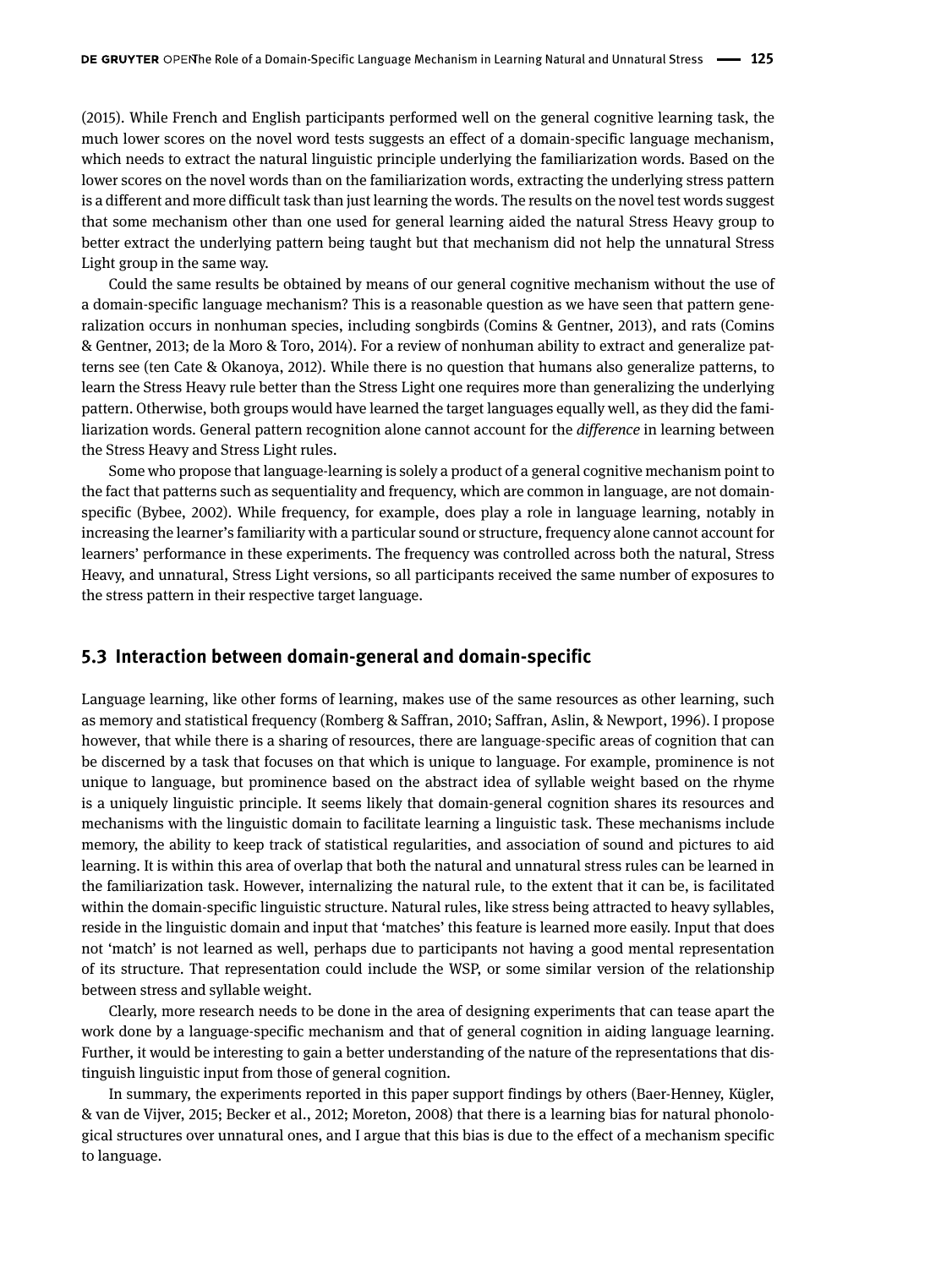(2015). While French and English participants performed well on the general cognitive learning task, the much lower scores on the novel word tests suggests an effect of a domain-specific language mechanism, which needs to extract the natural linguistic principle underlying the familiarization words. Based on the lower scores on the novel words than on the familiarization words, extracting the underlying stress pattern is a different and more difficult task than just learning the words. The results on the novel test words suggest that some mechanism other than one used for general learning aided the natural Stress Heavy group to better extract the underlying pattern being taught but that mechanism did not help the unnatural Stress Light group in the same way.

Could the same results be obtained by means of our general cognitive mechanism without the use of a domain-specific language mechanism? This is a reasonable question as we have seen that pattern generalization occurs in nonhuman species, including songbirds (Comins & Gentner, 2013), and rats (Comins & Gentner, 2013; de la Moro & Toro, 2014). For a review of nonhuman ability to extract and generalize patterns see (ten Cate & Okanoya, 2012). While there is no question that humans also generalize patterns, to learn the Stress Heavy rule better than the Stress Light one requires more than generalizing the underlying pattern. Otherwise, both groups would have learned the target languages equally well, as they did the familiarization words. General pattern recognition alone cannot account for the *difference* in learning between the Stress Heavy and Stress Light rules.

Some who propose that language-learning is solely a product of a general cognitive mechanism point to the fact that patterns such as sequentiality and frequency, which are common in language, are not domainspecific (Bybee, 2002). While frequency, for example, does play a role in language learning, notably in increasing the learner's familiarity with a particular sound or structure, frequency alone cannot account for learners' performance in these experiments. The frequency was controlled across both the natural, Stress Heavy, and unnatural, Stress Light versions, so all participants received the same number of exposures to the stress pattern in their respective target language.

#### **5.3 Interaction between domain-general and domain-specific**

Language learning, like other forms of learning, makes use of the same resources as other learning, such as memory and statistical frequency (Romberg & Saffran, 2010; Saffran, Aslin, & Newport, 1996). I propose however, that while there is a sharing of resources, there are language-specific areas of cognition that can be discerned by a task that focuses on that which is unique to language. For example, prominence is not unique to language, but prominence based on the abstract idea of syllable weight based on the rhyme is a uniquely linguistic principle. It seems likely that domain-general cognition shares its resources and mechanisms with the linguistic domain to facilitate learning a linguistic task. These mechanisms include memory, the ability to keep track of statistical regularities, and association of sound and pictures to aid learning. It is within this area of overlap that both the natural and unnatural stress rules can be learned in the familiarization task. However, internalizing the natural rule, to the extent that it can be, is facilitated within the domain-specific linguistic structure. Natural rules, like stress being attracted to heavy syllables, reside in the linguistic domain and input that 'matches' this feature is learned more easily. Input that does not 'match' is not learned as well, perhaps due to participants not having a good mental representation of its structure. That representation could include the WSP, or some similar version of the relationship between stress and syllable weight.

Clearly, more research needs to be done in the area of designing experiments that can tease apart the work done by a language-specific mechanism and that of general cognition in aiding language learning. Further, it would be interesting to gain a better understanding of the nature of the representations that distinguish linguistic input from those of general cognition.

In summary, the experiments reported in this paper support findings by others (Baer-Henney, Kügler, & van de Vijver, 2015; Becker et al., 2012; Moreton, 2008) that there is a learning bias for natural phonological structures over unnatural ones, and I argue that this bias is due to the effect of a mechanism specific to language.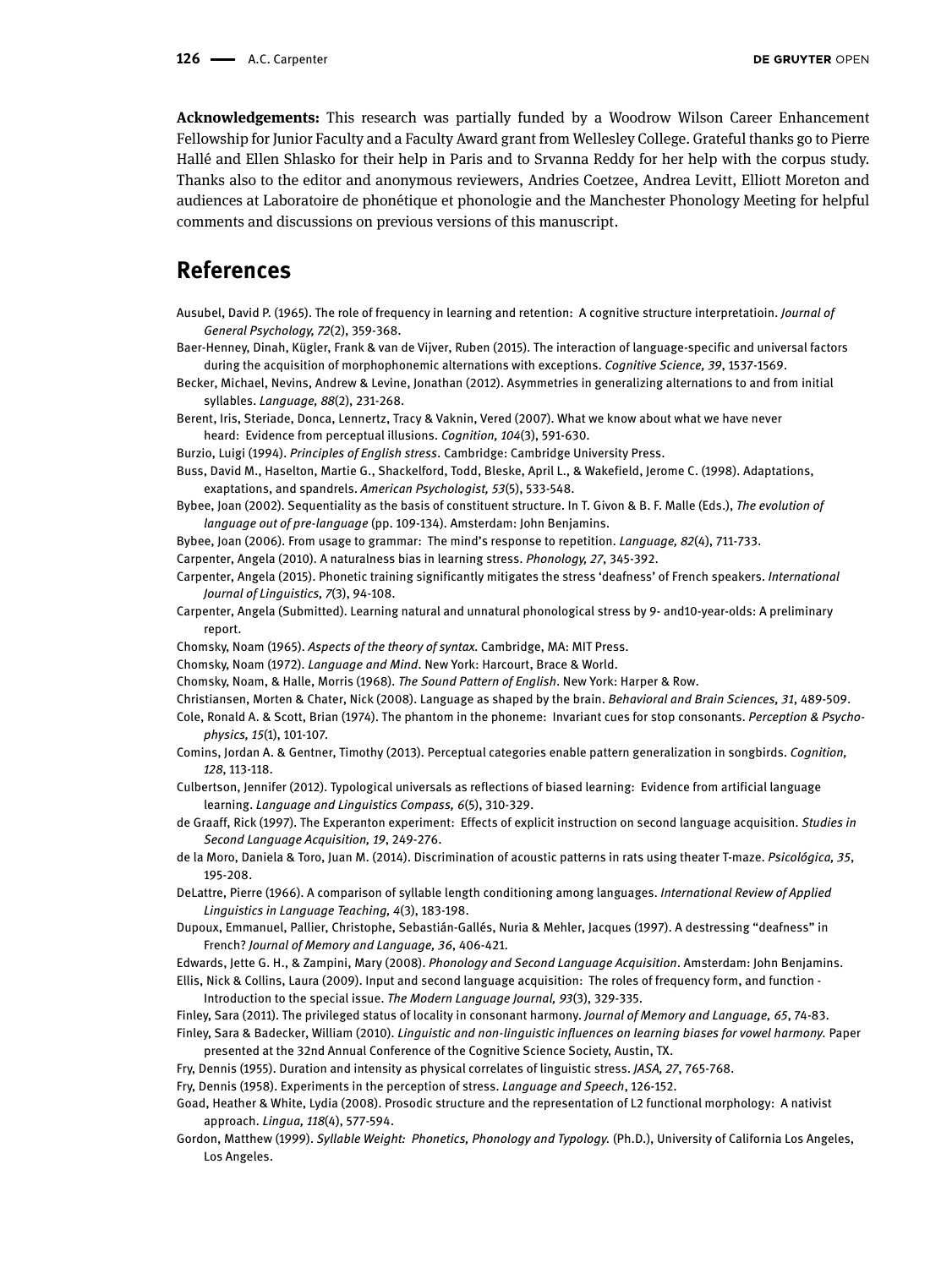**Acknowledgements:** This research was partially funded by a Woodrow Wilson Career Enhancement Fellowship for Junior Faculty and a Faculty Award grant from Wellesley College. Grateful thanks go to Pierre Hallé and Ellen Shlasko for their help in Paris and to Srvanna Reddy for her help with the corpus study. Thanks also to the editor and anonymous reviewers, Andries Coetzee, Andrea Levitt, Elliott Moreton and audiences at Laboratoire de phonétique et phonologie and the Manchester Phonology Meeting for helpful comments and discussions on previous versions of this manuscript.

### **References**

- Ausubel, David P. (1965). The role of frequency in learning and retention: A cognitive structure interpretatioin. *Journal of General Psychology, 72*(2), 359-368.
- Baer-Henney, Dinah, Kügler, Frank & van de Vijver, Ruben (2015). The interaction of language-specific and universal factors during the acquisition of morphophonemic alternations with exceptions. *Cognitive Science, 39*, 1537-1569.

Becker, Michael, Nevins, Andrew & Levine, Jonathan (2012). Asymmetries in generalizing alternations to and from initial syllables. *Language, 88*(2), 231-268.

Berent, Iris, Steriade, Donca, Lennertz, Tracy & Vaknin, Vered (2007). What we know about what we have never heard: Evidence from perceptual illusions. *Cognition, 104*(3), 591-630.

Burzio, Luigi (1994). *Principles of English stress*. Cambridge: Cambridge University Press.

Buss, David M., Haselton, Martie G., Shackelford, Todd, Bleske, April L., & Wakefield, Jerome C. (1998). Adaptations, exaptations, and spandrels. *American Psychologist, 53*(5), 533-548.

Bybee, Joan (2002). Sequentiality as the basis of constituent structure. In T. Givon & B. F. Malle (Eds.), *The evolution of language out of pre-language* (pp. 109-134). Amsterdam: John Benjamins.

Bybee, Joan (2006). From usage to grammar: The mind's response to repetition. *Language, 82*(4), 711-733.

Carpenter, Angela (2010). A naturalness bias in learning stress. *Phonology, 27*, 345-392.

- Carpenter, Angela (2015). Phonetic training significantly mitigates the stress 'deafness' of French speakers. *International Journal of Linguistics, 7*(3), 94-108.
- Carpenter, Angela (Submitted). Learning natural and unnatural phonological stress by 9- and10-year-olds: A preliminary report.
- Chomsky, Noam (1965). *Aspects of the theory of syntax*. Cambridge, MA: MIT Press.
- Chomsky, Noam (1972). *Language and Mind*. New York: Harcourt, Brace & World.
- Chomsky, Noam, & Halle, Morris (1968). *The Sound Pattern of English*. New York: Harper & Row.

Christiansen, Morten & Chater, Nick (2008). Language as shaped by the brain. *Behavioral and Brain Sciences, 31*, 489-509.

- Cole, Ronald A. & Scott, Brian (1974). The phantom in the phoneme: Invariant cues for stop consonants. *Perception & Psychophysics, 15*(1), 101-107.
- Comins, Jordan A. & Gentner, Timothy (2013). Perceptual categories enable pattern generalization in songbirds. *Cognition, 128*, 113-118.
- Culbertson, Jennifer (2012). Typological universals as reflections of biased learning: Evidence from artificial language learning. *Language and Linguistics Compass, 6*(5), 310-329.
- de Graaff, Rick (1997). The Experanton experiment: Effects of explicit instruction on second language acquisition. *Studies in Second Language Acquisition, 19*, 249-276.
- de la Moro, Daniela & Toro, Juan M. (2014). Discrimination of acoustic patterns in rats using theater T-maze. *Psicológica, 35*, 195-208.
- DeLattre, Pierre (1966). A comparison of syllable length conditioning among languages. *International Review of Applied Linguistics in Language Teaching, 4*(3), 183-198.
- Dupoux, Emmanuel, Pallier, Christophe, Sebastián-Gallés, Nuria & Mehler, Jacques (1997). A destressing "deafness" in French? *Journal of Memory and Language, 36*, 406-421.

Edwards, Jette G. H., & Zampini, Mary (2008). *Phonology and Second Language Acquisition*. Amsterdam: John Benjamins.

Ellis, Nick & Collins, Laura (2009). Input and second language acquisition: The roles of frequency form, and function - Introduction to the special issue. *The Modern Language Journal, 93*(3), 329-335.

Finley, Sara (2011). The privileged status of locality in consonant harmony. *Journal of Memory and Language, 65*, 74-83.

Finley, Sara & Badecker, William (2010). *Linguistic and non-linguistic influences on learning biases for vowel harmony.* Paper presented at the 32nd Annual Conference of the Cognitive Science Society, Austin, TX.

Fry, Dennis (1955). Duration and intensity as physical correlates of linguistic stress. *JASA, 27*, 765-768.

Fry, Dennis (1958). Experiments in the perception of stress. *Language and Speech*, 126-152.

Goad, Heather & White, Lydia (2008). Prosodic structure and the representation of L2 functional morphology: A nativist approach. *Lingua, 118*(4), 577-594.

Gordon, Matthew (1999). *Syllable Weight: Phonetics, Phonology and Typology.* (Ph.D.), University of California Los Angeles, Los Angeles.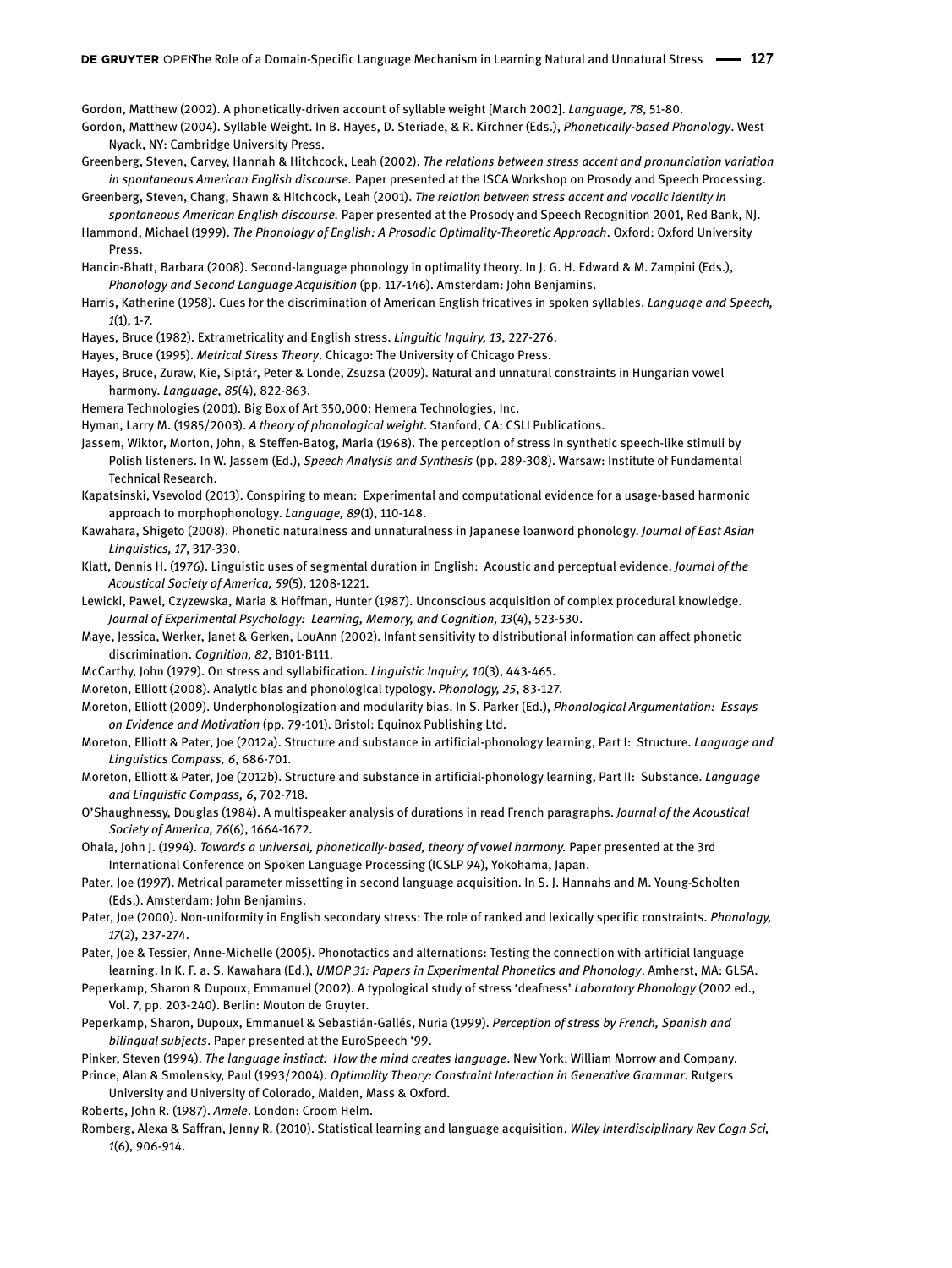Gordon, Matthew (2002). A phonetically-driven account of syllable weight [March 2002]. *Language, 78*, 51-80.

- Gordon, Matthew (2004). Syllable Weight. In B. Hayes, D. Steriade, & R. Kirchner (Eds.), *Phonetically-based Phonology*. West Nyack, NY: Cambridge University Press.
- Greenberg, Steven, Carvey, Hannah & Hitchcock, Leah (2002). *The relations between stress accent and pronunciation variation in spontaneous American English discourse.* Paper presented at the ISCA Workshop on Prosody and Speech Processing.
- Greenberg, Steven, Chang, Shawn & Hitchcock, Leah (2001). *The relation between stress accent and vocalic identity in spontaneous American English discourse.* Paper presented at the Prosody and Speech Recognition 2001, Red Bank, NJ.
- Hammond, Michael (1999). *The Phonology of English: A Prosodic Optimality-Theoretic Approach*. Oxford: Oxford University Press.
- Hancin-Bhatt, Barbara (2008). Second-language phonology in optimality theory. In J. G. H. Edward & M. Zampini (Eds.), *Phonology and Second Language Acquisition* (pp. 117-146). Amsterdam: John Benjamins.
- Harris, Katherine (1958). Cues for the discrimination of American English fricatives in spoken syllables. *Language and Speech, 1*(1), 1-7.
- Hayes, Bruce (1982). Extrametricality and English stress. *Linguitic Inquiry, 13*, 227-276.
- Hayes, Bruce (1995). *Metrical Stress Theory*. Chicago: The University of Chicago Press.
- Hayes, Bruce, Zuraw, Kie, Siptár, Peter & Londe, Zsuzsa (2009). Natural and unnatural constraints in Hungarian vowel harmony. *Language, 85*(4), 822-863.
- Hemera Technologies (2001). Big Box of Art 350,000: Hemera Technologies, Inc.

Hyman, Larry M. (1985/2003). *A theory of phonological weight*. Stanford, CA: CSLI Publications.

- Jassem, Wiktor, Morton, John, & Steffen-Batog, Maria (1968). The perception of stress in synthetic speech-like stimuli by Polish listeners. In W. Jassem (Ed.), *Speech Analysis and Synthesis* (pp. 289-308). Warsaw: Institute of Fundamental Technical Research.
- Kapatsinski, Vsevolod (2013). Conspiring to mean: Experimental and computational evidence for a usage-based harmonic approach to morphophonology. *Language, 89*(1), 110-148.
- Kawahara, Shigeto (2008). Phonetic naturalness and unnaturalness in Japanese loanword phonology. *Journal of East Asian Linguistics, 17*, 317-330.
- Klatt, Dennis H. (1976). Linguistic uses of segmental duration in English: Acoustic and perceptual evidence. *Journal of the Acoustical Society of America, 59*(5), 1208-1221.
- Lewicki, Pawel, Czyzewska, Maria & Hoffman, Hunter (1987). Unconscious acquisition of complex procedural knowledge. *Journal of Experimental Psychology: Learning, Memory, and Cognition, 13*(4), 523-530.
- Maye, Jessica, Werker, Janet & Gerken, LouAnn (2002). Infant sensitivity to distributional information can affect phonetic discrimination. *Cognition, 82*, B101-B111.
- McCarthy, John (1979). On stress and syllabification. *Linguistic Inquiry, 10*(3), 443-465.
- Moreton, Elliott (2008). Analytic bias and phonological typology. *Phonology, 25*, 83-127.
- Moreton, Elliott (2009). Underphonologization and modularity bias. In S. Parker (Ed.), *Phonological Argumentation: Essays on Evidence and Motivation* (pp. 79-101). Bristol: Equinox Publishing Ltd.
- Moreton, Elliott & Pater, Joe (2012a). Structure and substance in artificial-phonology learning, Part I: Structure. *Language and Linguistics Compass, 6*, 686-701.
- Moreton, Elliott & Pater, Joe (2012b). Structure and substance in artificial-phonology learning, Part II: Substance. *Language and Linguistic Compass, 6*, 702-718.
- O'Shaughnessy, Douglas (1984). A multispeaker analysis of durations in read French paragraphs. *Journal of the Acoustical Society of America, 76*(6), 1664-1672.
- Ohala, John J. (1994). *Towards a universal, phonetically-based, theory of vowel harmony.* Paper presented at the 3rd International Conference on Spoken Language Processing (ICSLP 94), Yokohama, Japan.
- Pater, Joe (1997). Metrical parameter missetting in second language acquisition. In S. J. Hannahs and M. Young-Scholten (Eds.). Amsterdam: John Benjamins.
- Pater, Joe (2000). Non-uniformity in English secondary stress: The role of ranked and lexically specific constraints. *Phonology, 17*(2), 237-274.
- Pater, Joe & Tessier, Anne-Michelle (2005). Phonotactics and alternations: Testing the connection with artificial language learning. In K. F. a. S. Kawahara (Ed.), *UMOP 31: Papers in Experimental Phonetics and Phonology*. Amherst, MA: GLSA.
- Peperkamp, Sharon & Dupoux, Emmanuel (2002). A typological study of stress 'deafness' *Laboratory Phonology* (2002 ed., Vol. 7, pp. 203-240). Berlin: Mouton de Gruyter.
- Peperkamp, Sharon, Dupoux, Emmanuel & Sebastián-Gallés, Nuria (1999). *Perception of stress by French, Spanish and bilingual subjects*. Paper presented at the EuroSpeech '99.
- Pinker, Steven (1994). *The language instinct: How the mind creates language*. New York: William Morrow and Company. Prince, Alan & Smolensky, Paul (1993/2004). *Optimality Theory: Constraint Interaction in Generative Grammar*. Rutgers

University and University of Colorado, Malden, Mass & Oxford.

Roberts, John R. (1987). *Amele*. London: Croom Helm.

Romberg, Alexa & Saffran, Jenny R. (2010). Statistical learning and language acquisition. *Wiley Interdisciplinary Rev Cogn Sci, 1*(6), 906-914.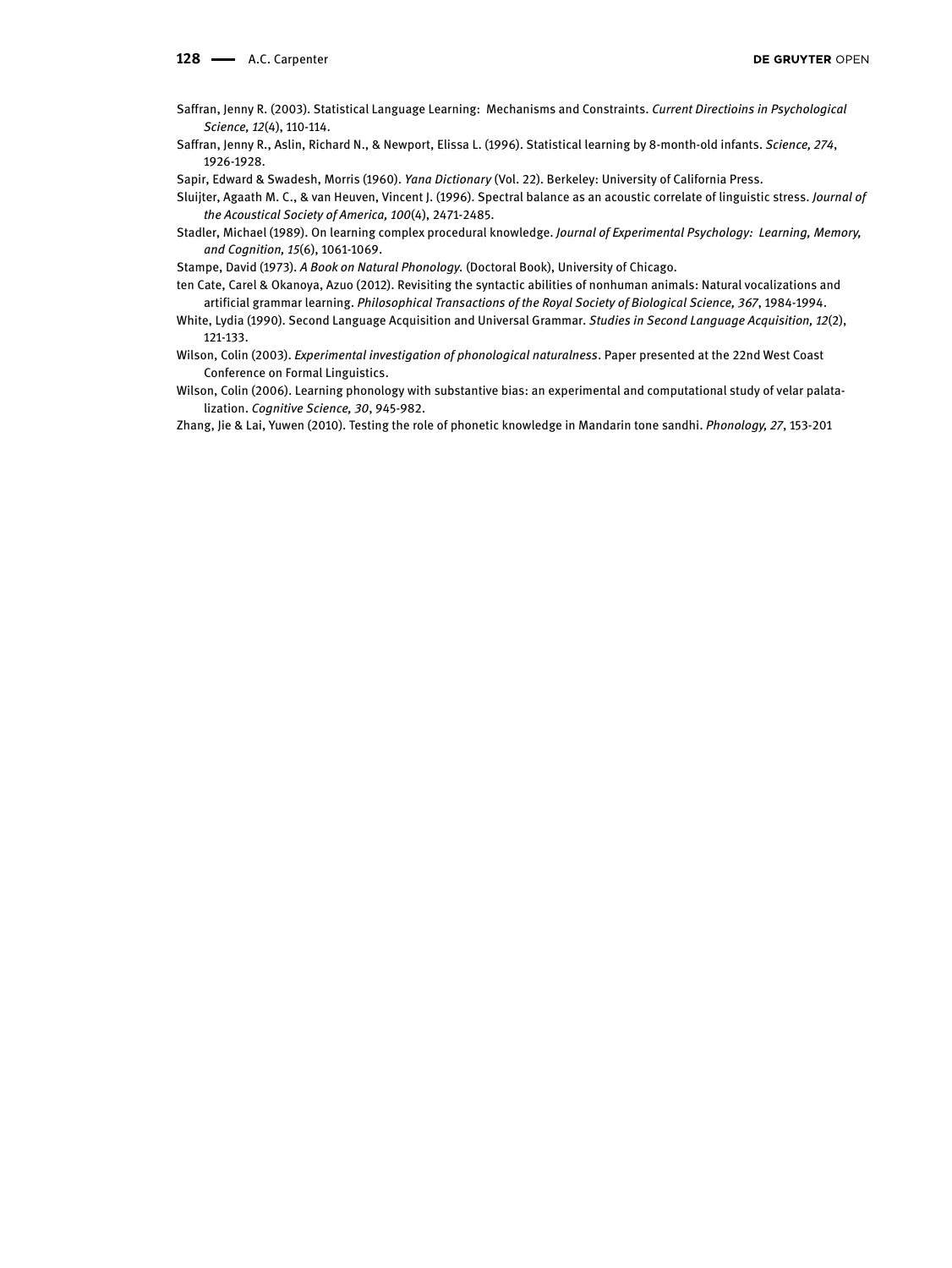- Saffran, Jenny R. (2003). Statistical Language Learning: Mechanisms and Constraints. *Current Directioins in Psychological Science, 12*(4), 110-114.
- Saffran, Jenny R., Aslin, Richard N., & Newport, Elissa L. (1996). Statistical learning by 8-month-old infants. *Science, 274*, 1926-1928.

Sapir, Edward & Swadesh, Morris (1960). *Yana Dictionary* (Vol. 22). Berkeley: University of California Press.

Sluijter, Agaath M. C., & van Heuven, Vincent J. (1996). Spectral balance as an acoustic correlate of linguistic stress. *Journal of the Acoustical Society of America, 100*(4), 2471-2485.

Stadler, Michael (1989). On learning complex procedural knowledge. *Journal of Experimental Psychology: Learning, Memory, and Cognition, 15*(6), 1061-1069.

Stampe, David (1973). *A Book on Natural Phonology.* (Doctoral Book), University of Chicago.

ten Cate, Carel & Okanoya, Azuo (2012). Revisiting the syntactic abilities of nonhuman animals: Natural vocalizations and artificial grammar learning. *Philosophical Transactions of the Royal Society of Biological Science, 367*, 1984-1994.

- White, Lydia (1990). Second Language Acquisition and Universal Grammar. *Studies in Second Language Acquisition, 12*(2), 121-133.
- Wilson, Colin (2003). *Experimental investigation of phonological naturalness*. Paper presented at the 22nd West Coast Conference on Formal Linguistics.
- Wilson, Colin (2006). Learning phonology with substantive bias: an experimental and computational study of velar palatalization. *Cognitive Science, 30*, 945-982.

Zhang, Jie & Lai, Yuwen (2010). Testing the role of phonetic knowledge in Mandarin tone sandhi. *Phonology, 27*, 153-201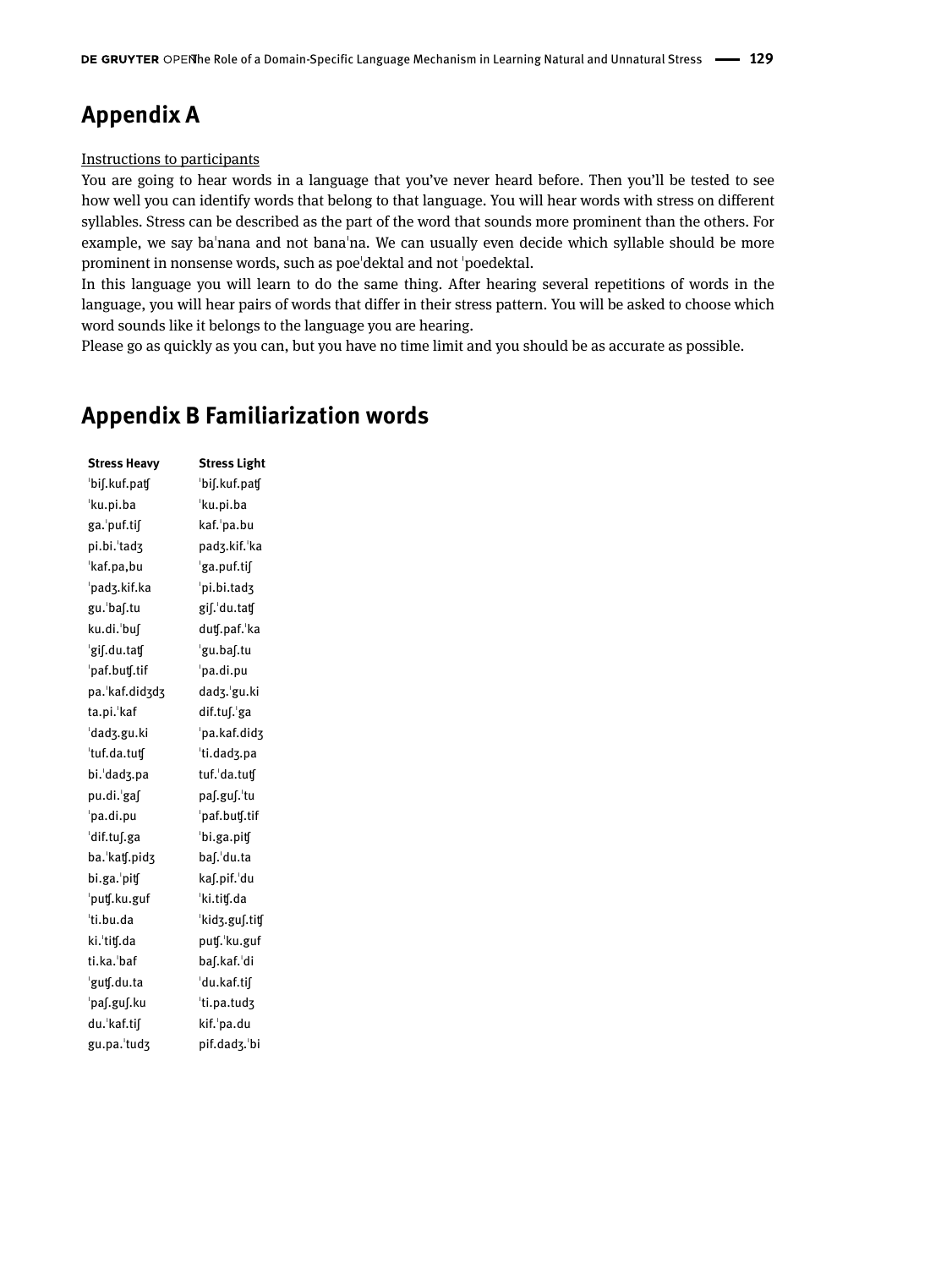### **Appendix A**

#### Instructions to participants

You are going to hear words in a language that you've never heard before. Then you'll be tested to see how well you can identify words that belong to that language. You will hear words with stress on different syllables. Stress can be described as the part of the word that sounds more prominent than the others. For example, we say baˈnana and not banaˈna. We can usually even decide which syllable should be more prominent in nonsense words, such as poeˈdektal and not ˈpoedektal.

In this language you will learn to do the same thing. After hearing several repetitions of words in the language, you will hear pairs of words that differ in their stress pattern. You will be asked to choose which word sounds like it belongs to the language you are hearing.

Please go as quickly as you can, but you have no time limit and you should be as accurate as possible.

### **Appendix B Familiarization words**

| <b>Stress Heavy</b>      | <b>Stress Light</b>      |
|--------------------------|--------------------------|
| 'bi∫.kuf.patf            | bif.kuf.patf             |
| ku.pi.ba                 | 'ku.pi.ba                |
| ga. puf.ti∫              | kaf.'pa.bu               |
| pi.bi.'tadz              | padʒ.kif.ˈka             |
| kaf.pa,bu                | 'ga.puf.ti∫              |
| padz.kif.ka              | pi.bi.tad3               |
| gu. <sup>'</sup> ba∫.tu  | gif. du.tatf             |
| ku.di.′bu∫               | dutf.paf.'ka             |
| 'gif.du.tatf             | 'gu.ba∫.tu               |
| paf.butf.tif             | 'pa.di.pu                |
| pa. kaf.didzdz           | dadz.'gu.ki              |
| ta.pi.'kaf               | dif.tuf.'ga              |
| dadz.gu.ki               | pa.kaf.did3              |
| 'tuf.da.tutf             | ti.dad3.pa               |
| bi.'dadz.pa              | tuf.'da.tutf             |
| pu.di.'ga∫               | pa∫.gu∫. <sup>'</sup> tu |
| 'pa.di.pu                | paf.butf.tif             |
| 'dif.tu∫.ga              | bi.ga.pitf               |
| ba. katf.pidz            | ba∫. <sup>'</sup> du.ta  |
| bi.ga.'pitf              | ka∫.pif.′du              |
| putf.ku.guf              | ki.titf.da               |
| 'ti.bu.da                | kidʒ.gu∫.titf            |
| ki.'titf.da              | putf.'ku.guf             |
| ti.ka. <sup>'</sup> baf  | ba∫.kaf.'di              |
| 'gutf.du.ta              | du.kaf.tif               |
| paf.guf.ku               | ti.pa.tudz               |
| du. <sup>1</sup> kaf.tif | kif.'pa.du               |
| gu.pa. tud3              | pif.dadz.'bi             |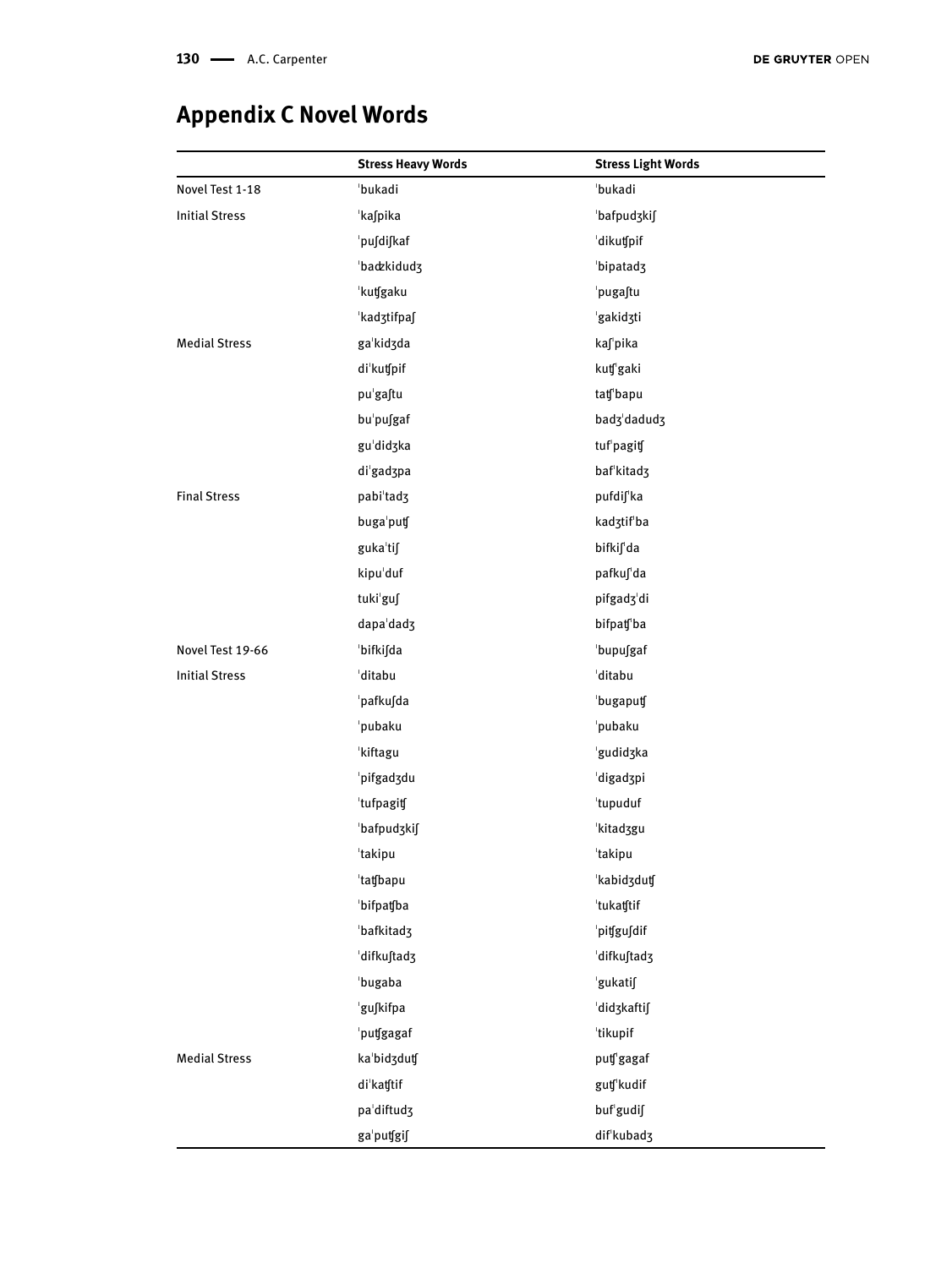## **Appendix C Novel Words**

|                       | <b>Stress Heavy Words</b> | <b>Stress Light Words</b> |  |
|-----------------------|---------------------------|---------------------------|--|
| Novel Test 1-18       | 'bukadi                   | 'bukadi                   |  |
| <b>Initial Stress</b> | 'ka∫pika                  | bafpudzkif                |  |
|                       | 'pu∫di∫kaf                | dikutfpif <sup>'</sup>    |  |
|                       | backidud3                 | bipatadz                  |  |
|                       | 'kutfgaku                 | pugastu                   |  |
|                       | 'kadʒtifpa∫               | 'gakidzti                 |  |
| <b>Medial Stress</b>  | ga'kidzda                 | ka∫pika                   |  |
|                       | di'kutfpif                | kutf'gaki                 |  |
|                       | pu'ga∫tu                  | tat <sup>'</sup> bapu     |  |
|                       | bu'pu∫gaf                 | bad3'dadud3               |  |
|                       | gu'didzka                 | tuf pagitf                |  |
|                       | di'gadzpa                 | baf <sup>'</sup> kitad3   |  |
| <b>Final Stress</b>   | pabi'tad3                 | pufdi∫ <sup>'</sup> ka    |  |
|                       | buga'putf                 | kadztif <sup>'</sup> ba   |  |
|                       | guka'ti∫                  | bifki∫da                  |  |
|                       | kipu'duf                  | pafku∫da                  |  |
|                       | tuki′gu∫                  | pifgad3'di                |  |
|                       | dapa'dad3                 | bifpat <sup>'</sup> ba    |  |
| Novel Test 19-66      | 'bifki∫da                 | bupufgaf <sup>'</sup>     |  |
| <b>Initial Stress</b> | 'ditabu                   | 'ditabu                   |  |
|                       | 'pafku∫da                 | bugaputf                  |  |
|                       | 'pubaku                   | 'pubaku                   |  |
|                       | 'kiftagu                  | 'gudidzka                 |  |
|                       | pifgadzdu                 | digadzpi                  |  |
|                       | 'tufpagitf                | 'tupuduf                  |  |
|                       | bafpudzkis                | 'kitadzgu                 |  |
|                       | 'takipu                   | 'takipu                   |  |
|                       | 'tatfbapu                 | 'kabidzdutf               |  |
|                       | bifpatsba                 | 'tukatftif                |  |
|                       | bafkitad3                 | 'pitfgufdif               |  |
|                       | difkuftad3                | difkuftad3                |  |
|                       | 'bugaba                   | 'gukati∫                  |  |
|                       | 'guʃkifpa                 | didzkaftif                |  |
|                       | putfgagaf                 | 'tikupif                  |  |
| <b>Medial Stress</b>  | ka'bidzduf                | putf'gagaf                |  |
|                       | di'katftif                | gut <sub>/</sub> 'kudif   |  |
|                       | pa'diftud3                | buf'gudif                 |  |
|                       | ga'put∫gi∫                | dif <sup>'</sup> kubad3   |  |